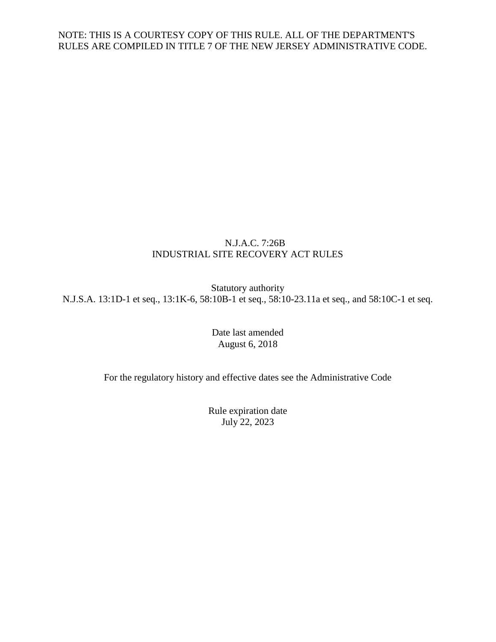### N.J.A.C. 7:26B INDUSTRIAL SITE RECOVERY ACT RULES

Statutory authority N.J.S.A. 13:1D-1 et seq., 13:1K-6, 58:10B-1 et seq., 58:10-23.11a et seq., and 58:10C-1 et seq.

> Date last amended August 6, 2018

For the regulatory history and effective dates see the Administrative Code

Rule expiration date July 22, 2023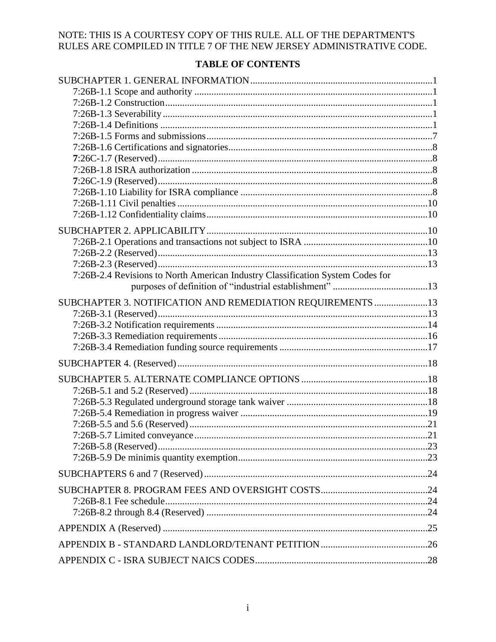# **TABLE OF CONTENTS**

| 7:26B-2.4 Revisions to North American Industry Classification System Codes for |    |
|--------------------------------------------------------------------------------|----|
|                                                                                |    |
| SUBCHAPTER 3. NOTIFICATION AND REMEDIATION REQUIREMENTS 13                     |    |
|                                                                                |    |
|                                                                                |    |
|                                                                                |    |
|                                                                                |    |
|                                                                                |    |
|                                                                                |    |
|                                                                                |    |
|                                                                                |    |
|                                                                                |    |
|                                                                                |    |
|                                                                                | 21 |
|                                                                                |    |
|                                                                                |    |
|                                                                                |    |
|                                                                                |    |
|                                                                                |    |
|                                                                                |    |
|                                                                                |    |
|                                                                                |    |
|                                                                                |    |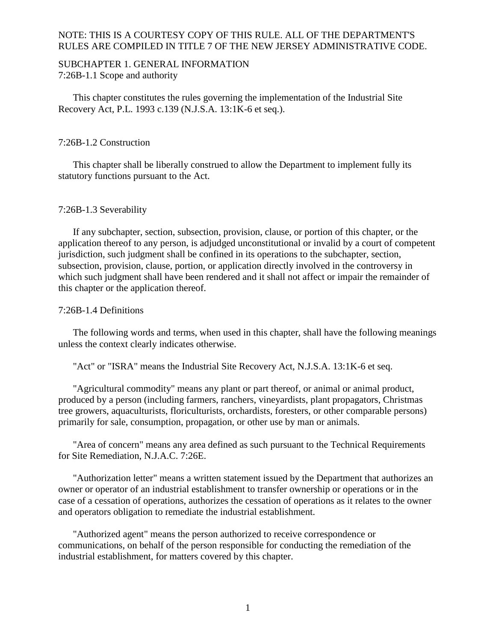### <span id="page-2-1"></span><span id="page-2-0"></span>SUBCHAPTER 1. GENERAL INFORMATION 7:26B-1.1 Scope and authority

This chapter constitutes the rules governing the implementation of the Industrial Site Recovery Act, P.L. 1993 c.139 (N.J.S.A. 13:1K-6 et seq.).

#### <span id="page-2-2"></span>7:26B-1.2 Construction

This chapter shall be liberally construed to allow the Department to implement fully its statutory functions pursuant to the Act.

#### <span id="page-2-3"></span>7:26B-1.3 Severability

If any subchapter, section, subsection, provision, clause, or portion of this chapter, or the application thereof to any person, is adjudged unconstitutional or invalid by a court of competent jurisdiction, such judgment shall be confined in its operations to the subchapter, section, subsection, provision, clause, portion, or application directly involved in the controversy in which such judgment shall have been rendered and it shall not affect or impair the remainder of this chapter or the application thereof.

#### <span id="page-2-4"></span>7:26B-1.4 Definitions

The following words and terms, when used in this chapter, shall have the following meanings unless the context clearly indicates otherwise.

"Act" or "ISRA" means the Industrial Site Recovery Act, N.J.S.A. 13:1K-6 et seq.

"Agricultural commodity" means any plant or part thereof, or animal or animal product, produced by a person (including farmers, ranchers, vineyardists, plant propagators, Christmas tree growers, aquaculturists, floriculturists, orchardists, foresters, or other comparable persons) primarily for sale, consumption, propagation, or other use by man or animals.

"Area of concern" means any area defined as such pursuant to the Technical Requirements for Site Remediation, N.J.A.C. 7:26E.

"Authorization letter" means a written statement issued by the Department that authorizes an owner or operator of an industrial establishment to transfer ownership or operations or in the case of a cessation of operations, authorizes the cessation of operations as it relates to the owner and operators obligation to remediate the industrial establishment.

"Authorized agent" means the person authorized to receive correspondence or communications, on behalf of the person responsible for conducting the remediation of the industrial establishment, for matters covered by this chapter.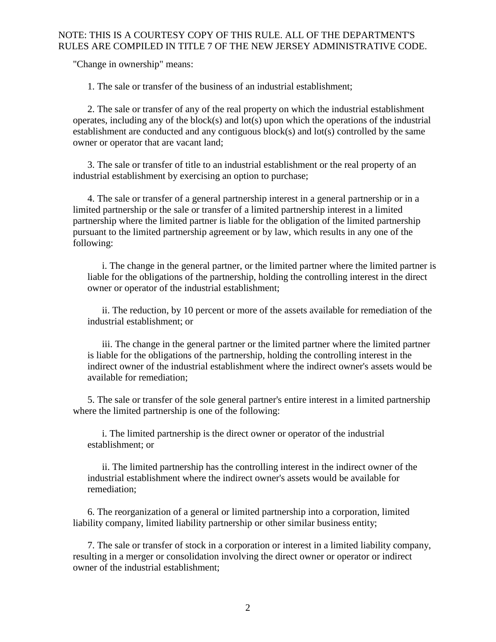"Change in ownership" means:

1. The sale or transfer of the business of an industrial establishment;

2. The sale or transfer of any of the real property on which the industrial establishment operates, including any of the block(s) and lot(s) upon which the operations of the industrial establishment are conducted and any contiguous block(s) and lot(s) controlled by the same owner or operator that are vacant land;

3. The sale or transfer of title to an industrial establishment or the real property of an industrial establishment by exercising an option to purchase;

4. The sale or transfer of a general partnership interest in a general partnership or in a limited partnership or the sale or transfer of a limited partnership interest in a limited partnership where the limited partner is liable for the obligation of the limited partnership pursuant to the limited partnership agreement or by law, which results in any one of the following:

i. The change in the general partner, or the limited partner where the limited partner is liable for the obligations of the partnership, holding the controlling interest in the direct owner or operator of the industrial establishment;

ii. The reduction, by 10 percent or more of the assets available for remediation of the industrial establishment; or

iii. The change in the general partner or the limited partner where the limited partner is liable for the obligations of the partnership, holding the controlling interest in the indirect owner of the industrial establishment where the indirect owner's assets would be available for remediation;

5. The sale or transfer of the sole general partner's entire interest in a limited partnership where the limited partnership is one of the following:

i. The limited partnership is the direct owner or operator of the industrial establishment; or

ii. The limited partnership has the controlling interest in the indirect owner of the industrial establishment where the indirect owner's assets would be available for remediation;

6. The reorganization of a general or limited partnership into a corporation, limited liability company, limited liability partnership or other similar business entity;

7. The sale or transfer of stock in a corporation or interest in a limited liability company, resulting in a merger or consolidation involving the direct owner or operator or indirect owner of the industrial establishment;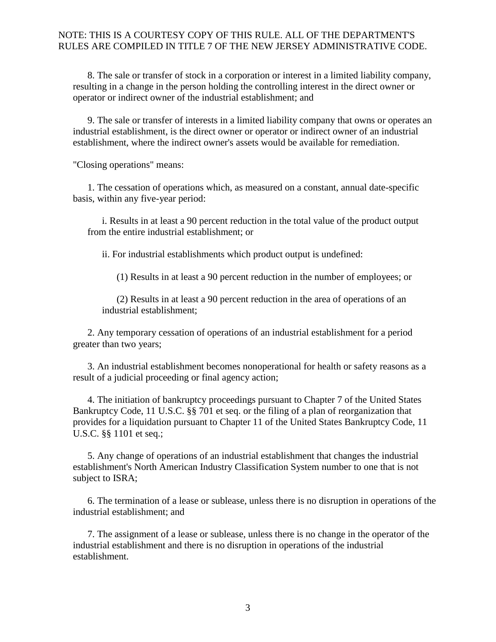8. The sale or transfer of stock in a corporation or interest in a limited liability company, resulting in a change in the person holding the controlling interest in the direct owner or operator or indirect owner of the industrial establishment; and

9. The sale or transfer of interests in a limited liability company that owns or operates an industrial establishment, is the direct owner or operator or indirect owner of an industrial establishment, where the indirect owner's assets would be available for remediation.

"Closing operations" means:

1. The cessation of operations which, as measured on a constant, annual date-specific basis, within any five-year period:

i. Results in at least a 90 percent reduction in the total value of the product output from the entire industrial establishment; or

ii. For industrial establishments which product output is undefined:

(1) Results in at least a 90 percent reduction in the number of employees; or

(2) Results in at least a 90 percent reduction in the area of operations of an industrial establishment;

2. Any temporary cessation of operations of an industrial establishment for a period greater than two years;

3. An industrial establishment becomes nonoperational for health or safety reasons as a result of a judicial proceeding or final agency action;

4. The initiation of bankruptcy proceedings pursuant to Chapter 7 of the United States Bankruptcy Code, 11 U.S.C. §§ 701 et seq. or the filing of a plan of reorganization that provides for a liquidation pursuant to Chapter 11 of the United States Bankruptcy Code, 11 U.S.C. §§ 1101 et seq.;

5. Any change of operations of an industrial establishment that changes the industrial establishment's North American Industry Classification System number to one that is not subject to ISRA;

6. The termination of a lease or sublease, unless there is no disruption in operations of the industrial establishment; and

7. The assignment of a lease or sublease, unless there is no change in the operator of the industrial establishment and there is no disruption in operations of the industrial establishment.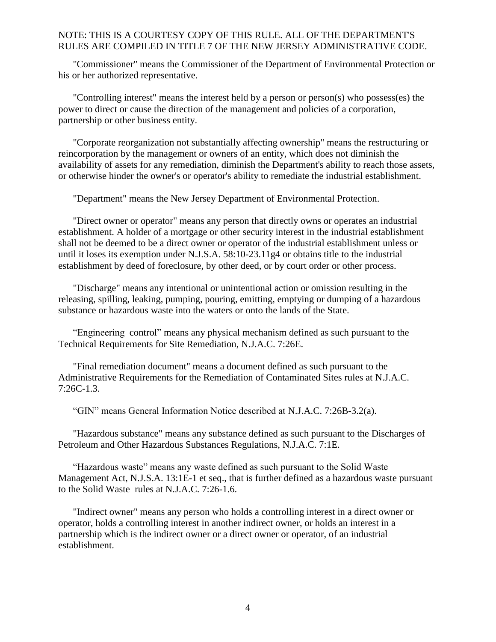"Commissioner" means the Commissioner of the Department of Environmental Protection or his or her authorized representative.

"Controlling interest" means the interest held by a person or person(s) who possess(es) the power to direct or cause the direction of the management and policies of a corporation, partnership or other business entity.

"Corporate reorganization not substantially affecting ownership" means the restructuring or reincorporation by the management or owners of an entity, which does not diminish the availability of assets for any remediation, diminish the Department's ability to reach those assets, or otherwise hinder the owner's or operator's ability to remediate the industrial establishment.

"Department" means the New Jersey Department of Environmental Protection.

"Direct owner or operator" means any person that directly owns or operates an industrial establishment. A holder of a mortgage or other security interest in the industrial establishment shall not be deemed to be a direct owner or operator of the industrial establishment unless or until it loses its exemption under N.J.S.A. 58:10-23.11g4 or obtains title to the industrial establishment by deed of foreclosure, by other deed, or by court order or other process.

"Discharge" means any intentional or unintentional action or omission resulting in the releasing, spilling, leaking, pumping, pouring, emitting, emptying or dumping of a hazardous substance or hazardous waste into the waters or onto the lands of the State.

"Engineering control" means any physical mechanism defined as such pursuant to the Technical Requirements for Site Remediation, N.J.A.C. 7:26E.

"Final remediation document" means a document defined as such pursuant to the Administrative Requirements for the Remediation of Contaminated Sites rules at N.J.A.C. 7:26C-1.3.

"GIN" means General Information Notice described at N.J.A.C. 7:26B-3.2(a).

"Hazardous substance" means any substance defined as such pursuant to the Discharges of Petroleum and Other Hazardous Substances Regulations, N.J.A.C. 7:1E.

"Hazardous waste" means any waste defined as such pursuant to the Solid Waste Management Act, N.J.S.A. 13:1E**-**1 et seq., that is further defined as a hazardous waste pursuant to the Solid Waste rules at N.J.A.C. 7:26-1.6.

"Indirect owner" means any person who holds a controlling interest in a direct owner or operator, holds a controlling interest in another indirect owner, or holds an interest in a partnership which is the indirect owner or a direct owner or operator, of an industrial establishment.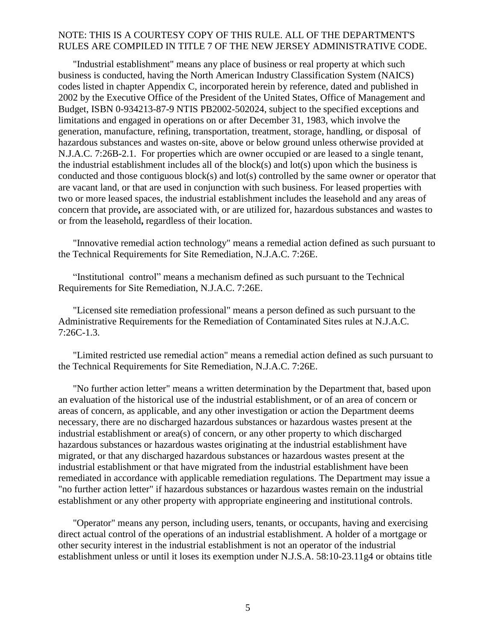"Industrial establishment" means any place of business or real property at which such business is conducted, having the North American Industry Classification System (NAICS) codes listed in chapter Appendix C, incorporated herein by reference, dated and published in 2002 by the Executive Office of the President of the United States, Office of Management and Budget, ISBN 0-934213-87-9 NTIS PB2002-502024, subject to the specified exceptions and limitations and engaged in operations on or after December 31, 1983, which involve the generation, manufacture, refining, transportation, treatment, storage, handling, or disposal of hazardous substances and wastes on-site, above or below ground unless otherwise provided at N.J.A.C. 7:26B-2.1. For properties which are owner occupied or are leased to a single tenant, the industrial establishment includes all of the block(s) and lot(s) upon which the business is conducted and those contiguous block(s) and lot(s) controlled by the same owner or operator that are vacant land, or that are used in conjunction with such business. For leased properties with two or more leased spaces, the industrial establishment includes the leasehold and any areas of concern that provide**,** are associated with, or are utilized for, hazardous substances and wastes to or from the leasehold**,** regardless of their location.

"Innovative remedial action technology" means a remedial action defined as such pursuant to the Technical Requirements for Site Remediation, N.J.A.C. 7:26E.

"Institutional control" means a mechanism defined as such pursuant to the Technical Requirements for Site Remediation, N.J.A.C. 7:26E.

"Licensed site remediation professional" means a person defined as such pursuant to the Administrative Requirements for the Remediation of Contaminated Sites rules at N.J.A.C. 7:26C-1.3.

"Limited restricted use remedial action" means a remedial action defined as such pursuant to the Technical Requirements for Site Remediation, N.J.A.C. 7:26E.

"No further action letter" means a written determination by the Department that, based upon an evaluation of the historical use of the industrial establishment, or of an area of concern or areas of concern, as applicable, and any other investigation or action the Department deems necessary, there are no discharged hazardous substances or hazardous wastes present at the industrial establishment or area(s) of concern, or any other property to which discharged hazardous substances or hazardous wastes originating at the industrial establishment have migrated, or that any discharged hazardous substances or hazardous wastes present at the industrial establishment or that have migrated from the industrial establishment have been remediated in accordance with applicable remediation regulations. The Department may issue a "no further action letter" if hazardous substances or hazardous wastes remain on the industrial establishment or any other property with appropriate engineering and institutional controls.

"Operator" means any person, including users, tenants, or occupants, having and exercising direct actual control of the operations of an industrial establishment. A holder of a mortgage or other security interest in the industrial establishment is not an operator of the industrial establishment unless or until it loses its exemption under N.J.S.A. 58:10-23.11g4 or obtains title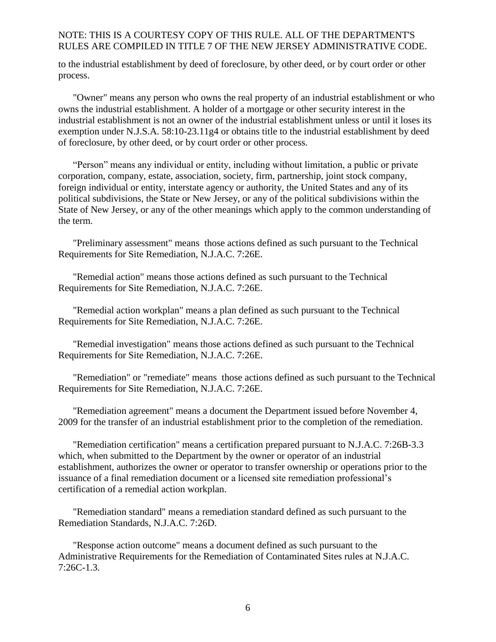to the industrial establishment by deed of foreclosure, by other deed, or by court order or other process.

"Owner" means any person who owns the real property of an industrial establishment or who owns the industrial establishment. A holder of a mortgage or other security interest in the industrial establishment is not an owner of the industrial establishment unless or until it loses its exemption under N.J.S.A. 58:10-23.11g4 or obtains title to the industrial establishment by deed of foreclosure, by other deed, or by court order or other process.

"Person" means any individual or entity, including without limitation, a public or private corporation, company, estate, association, society, firm, partnership, joint stock company, foreign individual or entity, interstate agency or authority, the United States and any of its political subdivisions, the State or New Jersey, or any of the political subdivisions within the State of New Jersey, or any of the other meanings which apply to the common understanding of the term.

"Preliminary assessment" means those actions defined as such pursuant to the Technical Requirements for Site Remediation, N.J.A.C. 7:26E.

"Remedial action" means those actions defined as such pursuant to the Technical Requirements for Site Remediation, N.J.A.C. 7:26E.

"Remedial action workplan" means a plan defined as such pursuant to the Technical Requirements for Site Remediation, N.J.A.C. 7:26E.

"Remedial investigation" means those actions defined as such pursuant to the Technical Requirements for Site Remediation, N.J.A.C. 7:26E.

"Remediation" or "remediate" means those actions defined as such pursuant to the Technical Requirements for Site Remediation, N.J.A.C. 7:26E.

"Remediation agreement" means a document the Department issued before November 4, 2009 for the transfer of an industrial establishment prior to the completion of the remediation.

"Remediation certification" means a certification prepared pursuant to N.J.A.C. 7:26B-3.3 which, when submitted to the Department by the owner or operator of an industrial establishment, authorizes the owner or operator to transfer ownership or operations prior to the issuance of a final remediation document or a licensed site remediation professional's certification of a remedial action workplan.

"Remediation standard" means a remediation standard defined as such pursuant to the Remediation Standards, N.J.A.C. 7:26D.

"Response action outcome" means a document defined as such pursuant to the Administrative Requirements for the Remediation of Contaminated Sites rules at N.J.A.C. 7:26C-1.3.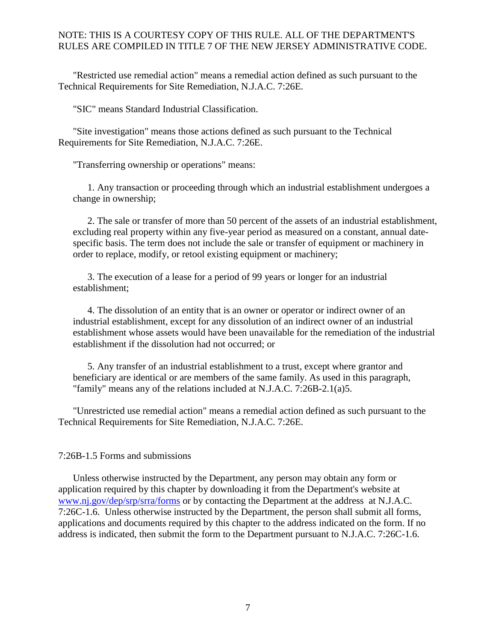"Restricted use remedial action" means a remedial action defined as such pursuant to the Technical Requirements for Site Remediation, N.J.A.C. 7:26E.

"SIC" means Standard Industrial Classification.

"Site investigation" means those actions defined as such pursuant to the Technical Requirements for Site Remediation, N.J.A.C. 7:26E.

"Transferring ownership or operations" means:

1. Any transaction or proceeding through which an industrial establishment undergoes a change in ownership;

2. The sale or transfer of more than 50 percent of the assets of an industrial establishment, excluding real property within any five-year period as measured on a constant, annual datespecific basis. The term does not include the sale or transfer of equipment or machinery in order to replace, modify, or retool existing equipment or machinery;

3. The execution of a lease for a period of 99 years or longer for an industrial establishment;

4. The dissolution of an entity that is an owner or operator or indirect owner of an industrial establishment, except for any dissolution of an indirect owner of an industrial establishment whose assets would have been unavailable for the remediation of the industrial establishment if the dissolution had not occurred; or

5. Any transfer of an industrial establishment to a trust, except where grantor and beneficiary are identical or are members of the same family. As used in this paragraph, "family" means any of the relations included at N.J.A.C. 7:26B-2.1(a)5.

"Unrestricted use remedial action" means a remedial action defined as such pursuant to the Technical Requirements for Site Remediation, N.J.A.C. 7:26E.

<span id="page-8-0"></span>7:26B-1.5 Forms and submissions

Unless otherwise instructed by the Department, any person may obtain any form or application required by this chapter by downloading it from the Department's website at [www.nj.gov/dep/srp/srra/forms](http://www.nj.gov/dep/srp/srra/forms) or by contacting the Department at the address at N.J.A.C. 7:26C-1.6. Unless otherwise instructed by the Department, the person shall submit all forms, applications and documents required by this chapter to the address indicated on the form. If no address is indicated, then submit the form to the Department pursuant to N.J.A.C. 7:26C-1.6.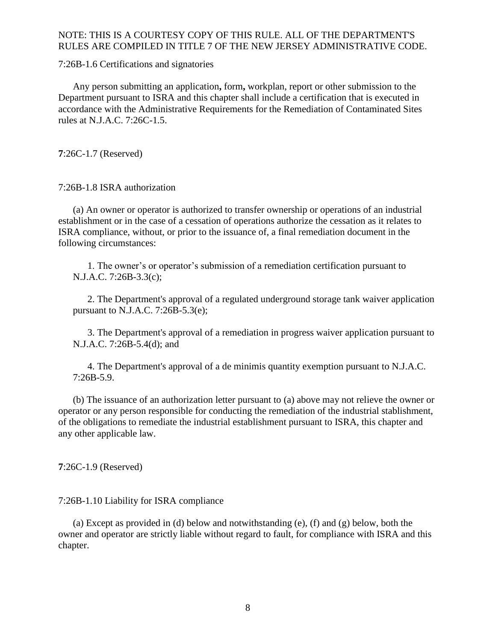<span id="page-9-0"></span>7:26B-1.6 Certifications and signatories

Any person submitting an application**,** form**,** workplan, report or other submission to the Department pursuant to ISRA and this chapter shall include a certification that is executed in accordance with the Administrative Requirements for the Remediation of Contaminated Sites rules at N.J.A.C. 7:26C-1.5.

<span id="page-9-1"></span>**7**:26C-1.7 (Reserved)

<span id="page-9-2"></span>7:26B-1.8 ISRA authorization

(a) An owner or operator is authorized to transfer ownership or operations of an industrial establishment or in the case of a cessation of operations authorize the cessation as it relates to ISRA compliance, without, or prior to the issuance of, a final remediation document in the following circumstances:

1. The owner's or operator's submission of a remediation certification pursuant to N.J.A.C. 7:26B-3.3(c);

2. The Department's approval of a regulated underground storage tank waiver application pursuant to N.J.A.C. 7:26B-5.3(e);

3. The Department's approval of a remediation in progress waiver application pursuant to N.J.A.C. 7:26B-5.4(d); and

4. The Department's approval of a de minimis quantity exemption pursuant to N.J.A.C. 7:26B-5.9.

(b) The issuance of an authorization letter pursuant to (a) above may not relieve the owner or operator or any person responsible for conducting the remediation of the industrial stablishment, of the obligations to remediate the industrial establishment pursuant to ISRA, this chapter and any other applicable law.

<span id="page-9-3"></span>**7**:26C-1.9 (Reserved)

<span id="page-9-4"></span>7:26B-1.10 Liability for ISRA compliance

(a) Except as provided in (d) below and notwithstanding (e), (f) and (g) below, both the owner and operator are strictly liable without regard to fault, for compliance with ISRA and this chapter.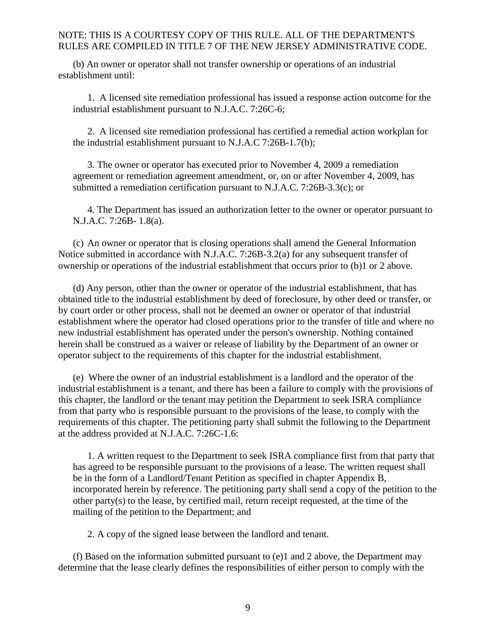(b) An owner or operator shall not transfer ownership or operations of an industrial establishment until:

1. A licensed site remediation professional has issued a response action outcome for the industrial establishment pursuant to N.J.A.C. 7:26C-6;

2. A licensed site remediation professional has certified a remedial action workplan for the industrial establishment pursuant to N.J.A.C 7:26B-1.7(b);

3. The owner or operator has executed prior to November 4, 2009 a remediation agreement or remediation agreement amendment, or, on or after November 4, 2009, has submitted a remediation certification pursuant to N.J.A.C. 7:26B-3.3(c); or

4. The Department has issued an authorization letter to the owner or operator pursuant to N.J.A.C. 7:26B- 1.8(a).

(c) An owner or operator that is closing operations shall amend the General Information Notice submitted in accordance with N.J.A.C. 7:26B-3.2(a) for any subsequent transfer of ownership or operations of the industrial establishment that occurs prior to (b)1 or 2 above.

(d) Any person, other than the owner or operator of the industrial establishment, that has obtained title to the industrial establishment by deed of foreclosure, by other deed or transfer, or by court order or other process, shall not be deemed an owner or operator of that industrial establishment where the operator had closed operations prior to the transfer of title and where no new industrial establishment has operated under the person's ownership. Nothing contained herein shall be construed as a waiver or release of liability by the Department of an owner or operator subject to the requirements of this chapter for the industrial establishment.

(e) Where the owner of an industrial establishment is a landlord and the operator of the industrial establishment is a tenant, and there has been a failure to comply with the provisions of this chapter, the landlord or the tenant may petition the Department to seek ISRA compliance from that party who is responsible pursuant to the provisions of the lease, to comply with the requirements of this chapter. The petitioning party shall submit the following to the Department at the address provided at N.J.A.C. 7:26C-1.6:

1. A written request to the Department to seek ISRA compliance first from that party that has agreed to be responsible pursuant to the provisions of a lease. The written request shall be in the form of a Landlord/Tenant Petition as specified in chapter Appendix B, incorporated herein by reference. The petitioning party shall send a copy of the petition to the other party(s) to the lease, by certified mail, return receipt requested, at the time of the mailing of the petition to the Department; and

2. A copy of the signed lease between the landlord and tenant.

(f) Based on the information submitted pursuant to (e)1 and 2 above, the Department may determine that the lease clearly defines the responsibilities of either person to comply with the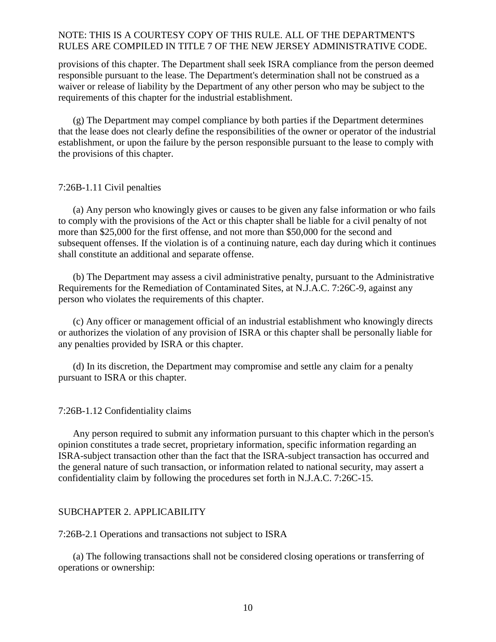provisions of this chapter. The Department shall seek ISRA compliance from the person deemed responsible pursuant to the lease. The Department's determination shall not be construed as a waiver or release of liability by the Department of any other person who may be subject to the requirements of this chapter for the industrial establishment.

(g) The Department may compel compliance by both parties if the Department determines that the lease does not clearly define the responsibilities of the owner or operator of the industrial establishment, or upon the failure by the person responsible pursuant to the lease to comply with the provisions of this chapter.

#### <span id="page-11-0"></span>7:26B-1.11 Civil penalties

(a) Any person who knowingly gives or causes to be given any false information or who fails to comply with the provisions of the Act or this chapter shall be liable for a civil penalty of not more than \$25,000 for the first offense, and not more than \$50,000 for the second and subsequent offenses. If the violation is of a continuing nature, each day during which it continues shall constitute an additional and separate offense.

(b) The Department may assess a civil administrative penalty, pursuant to the Administrative Requirements for the Remediation of Contaminated Sites, at N.J.A.C. 7:26C-9, against any person who violates the requirements of this chapter.

(c) Any officer or management official of an industrial establishment who knowingly directs or authorizes the violation of any provision of ISRA or this chapter shall be personally liable for any penalties provided by ISRA or this chapter.

(d) In its discretion, the Department may compromise and settle any claim for a penalty pursuant to ISRA or this chapter.

### <span id="page-11-1"></span>7:26B-1.12 Confidentiality claims

Any person required to submit any information pursuant to this chapter which in the person's opinion constitutes a trade secret, proprietary information, specific information regarding an ISRA-subject transaction other than the fact that the ISRA-subject transaction has occurred and the general nature of such transaction, or information related to national security, may assert a confidentiality claim by following the procedures set forth in N.J.A.C. 7:26C-15.

#### <span id="page-11-2"></span>SUBCHAPTER 2. APPLICABILITY

<span id="page-11-3"></span>7:26B-2.1 Operations and transactions not subject to ISRA

(a) The following transactions shall not be considered closing operations or transferring of operations or ownership: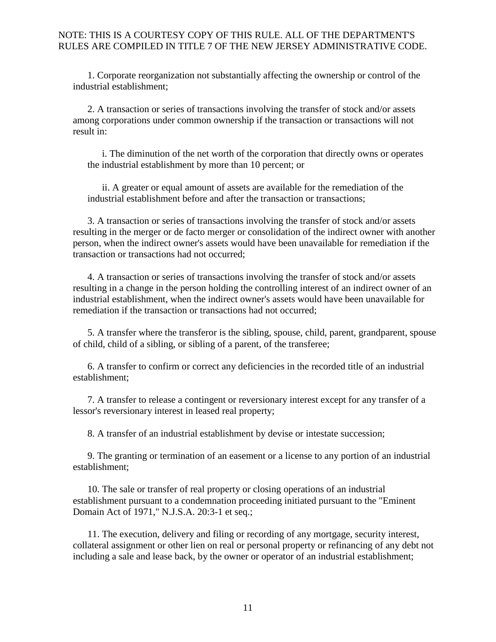1. Corporate reorganization not substantially affecting the ownership or control of the industrial establishment;

2. A transaction or series of transactions involving the transfer of stock and/or assets among corporations under common ownership if the transaction or transactions will not result in:

i. The diminution of the net worth of the corporation that directly owns or operates the industrial establishment by more than 10 percent; or

ii. A greater or equal amount of assets are available for the remediation of the industrial establishment before and after the transaction or transactions;

3. A transaction or series of transactions involving the transfer of stock and/or assets resulting in the merger or de facto merger or consolidation of the indirect owner with another person, when the indirect owner's assets would have been unavailable for remediation if the transaction or transactions had not occurred;

4. A transaction or series of transactions involving the transfer of stock and/or assets resulting in a change in the person holding the controlling interest of an indirect owner of an industrial establishment, when the indirect owner's assets would have been unavailable for remediation if the transaction or transactions had not occurred;

5. A transfer where the transferor is the sibling, spouse, child, parent, grandparent, spouse of child, child of a sibling, or sibling of a parent, of the transferee;

6. A transfer to confirm or correct any deficiencies in the recorded title of an industrial establishment;

7. A transfer to release a contingent or reversionary interest except for any transfer of a lessor's reversionary interest in leased real property;

8. A transfer of an industrial establishment by devise or intestate succession;

9. The granting or termination of an easement or a license to any portion of an industrial establishment;

10. The sale or transfer of real property or closing operations of an industrial establishment pursuant to a condemnation proceeding initiated pursuant to the "Eminent Domain Act of 1971," N.J.S.A. 20:3-1 et seq.;

11. The execution, delivery and filing or recording of any mortgage, security interest, collateral assignment or other lien on real or personal property or refinancing of any debt not including a sale and lease back, by the owner or operator of an industrial establishment;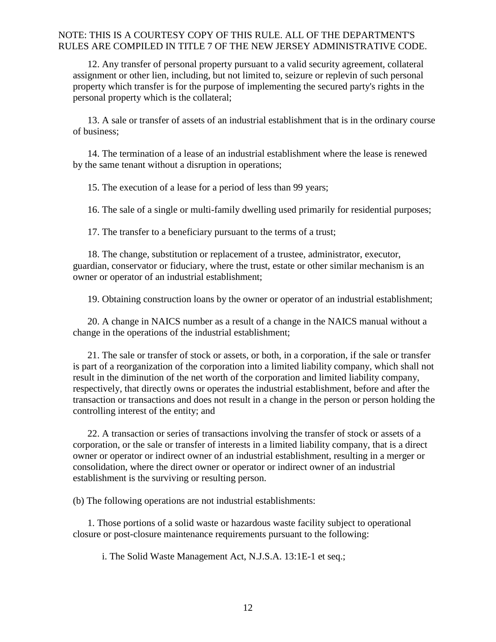12. Any transfer of personal property pursuant to a valid security agreement, collateral assignment or other lien, including, but not limited to, seizure or replevin of such personal property which transfer is for the purpose of implementing the secured party's rights in the personal property which is the collateral;

13. A sale or transfer of assets of an industrial establishment that is in the ordinary course of business;

14. The termination of a lease of an industrial establishment where the lease is renewed by the same tenant without a disruption in operations;

15. The execution of a lease for a period of less than 99 years;

16. The sale of a single or multi-family dwelling used primarily for residential purposes;

17. The transfer to a beneficiary pursuant to the terms of a trust;

18. The change, substitution or replacement of a trustee, administrator, executor, guardian, conservator or fiduciary, where the trust, estate or other similar mechanism is an owner or operator of an industrial establishment;

19. Obtaining construction loans by the owner or operator of an industrial establishment;

20. A change in NAICS number as a result of a change in the NAICS manual without a change in the operations of the industrial establishment;

21. The sale or transfer of stock or assets, or both, in a corporation, if the sale or transfer is part of a reorganization of the corporation into a limited liability company, which shall not result in the diminution of the net worth of the corporation and limited liability company, respectively, that directly owns or operates the industrial establishment, before and after the transaction or transactions and does not result in a change in the person or person holding the controlling interest of the entity; and

22. A transaction or series of transactions involving the transfer of stock or assets of a corporation, or the sale or transfer of interests in a limited liability company, that is a direct owner or operator or indirect owner of an industrial establishment, resulting in a merger or consolidation, where the direct owner or operator or indirect owner of an industrial establishment is the surviving or resulting person.

(b) The following operations are not industrial establishments:

1. Those portions of a solid waste or hazardous waste facility subject to operational closure or post-closure maintenance requirements pursuant to the following:

i. The Solid Waste Management Act, N.J.S.A. 13:1E-1 et seq.;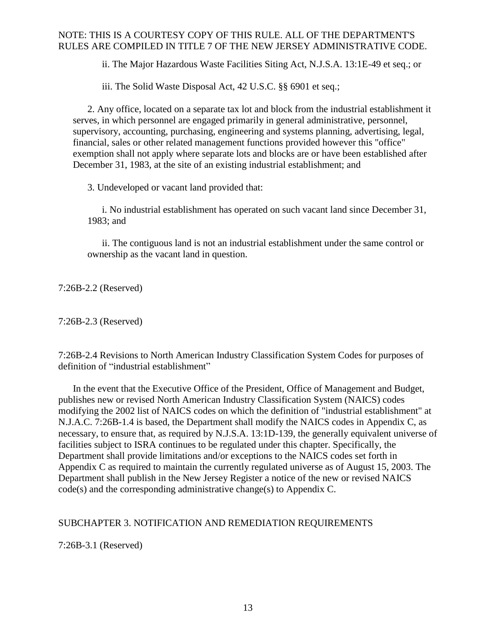ii. The Major Hazardous Waste Facilities Siting Act, N.J.S.A. 13:1E-49 et seq.; or

iii. The Solid Waste Disposal Act, 42 U.S.C. §§ 6901 et seq.;

2. Any office, located on a separate tax lot and block from the industrial establishment it serves, in which personnel are engaged primarily in general administrative, personnel, supervisory, accounting, purchasing, engineering and systems planning, advertising, legal, financial, sales or other related management functions provided however this "office" exemption shall not apply where separate lots and blocks are or have been established after December 31, 1983, at the site of an existing industrial establishment; and

3. Undeveloped or vacant land provided that:

i. No industrial establishment has operated on such vacant land since December 31, 1983; and

ii. The contiguous land is not an industrial establishment under the same control or ownership as the vacant land in question.

<span id="page-14-0"></span>7:26B-2.2 (Reserved)

<span id="page-14-1"></span>7:26B-2.3 (Reserved)

<span id="page-14-2"></span>7:26B-2.4 Revisions to North American Industry Classification System Codes for purposes of definition of "industrial establishment"

In the event that the Executive Office of the President, Office of Management and Budget, publishes new or revised North American Industry Classification System (NAICS) codes modifying the 2002 list of NAICS codes on which the definition of "industrial establishment" at N.J.A.C. 7:26B-1.4 is based, the Department shall modify the NAICS codes in Appendix C, as necessary, to ensure that, as required by N.J.S.A. 13:1D-139, the generally equivalent universe of facilities subject to ISRA continues to be regulated under this chapter. Specifically, the Department shall provide limitations and/or exceptions to the NAICS codes set forth in Appendix C as required to maintain the currently regulated universe as of August 15, 2003. The Department shall publish in the New Jersey Register a notice of the new or revised NAICS code(s) and the corresponding administrative change(s) to Appendix C.

### <span id="page-14-3"></span>SUBCHAPTER 3. NOTIFICATION AND REMEDIATION REQUIREMENTS

<span id="page-14-4"></span>7:26B-3.1 (Reserved)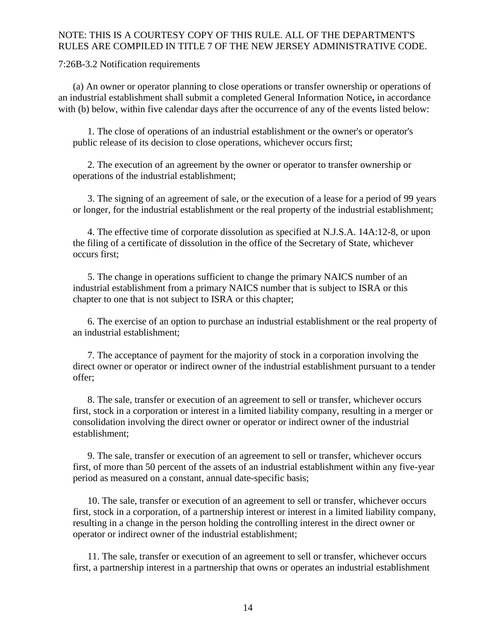<span id="page-15-0"></span>7:26B-3.2 Notification requirements

(a) An owner or operator planning to close operations or transfer ownership or operations of an industrial establishment shall submit a completed General Information Notice**,** in accordance with (b) below, within five calendar days after the occurrence of any of the events listed below:

1. The close of operations of an industrial establishment or the owner's or operator's public release of its decision to close operations, whichever occurs first;

2. The execution of an agreement by the owner or operator to transfer ownership or operations of the industrial establishment;

3. The signing of an agreement of sale, or the execution of a lease for a period of 99 years or longer, for the industrial establishment or the real property of the industrial establishment;

4. The effective time of corporate dissolution as specified at N.J.S.A. 14A:12-8, or upon the filing of a certificate of dissolution in the office of the Secretary of State, whichever occurs first;

5. The change in operations sufficient to change the primary NAICS number of an industrial establishment from a primary NAICS number that is subject to ISRA or this chapter to one that is not subject to ISRA or this chapter;

6. The exercise of an option to purchase an industrial establishment or the real property of an industrial establishment;

7. The acceptance of payment for the majority of stock in a corporation involving the direct owner or operator or indirect owner of the industrial establishment pursuant to a tender offer;

8. The sale, transfer or execution of an agreement to sell or transfer, whichever occurs first, stock in a corporation or interest in a limited liability company, resulting in a merger or consolidation involving the direct owner or operator or indirect owner of the industrial establishment;

9. The sale, transfer or execution of an agreement to sell or transfer, whichever occurs first, of more than 50 percent of the assets of an industrial establishment within any five-year period as measured on a constant, annual date-specific basis;

10. The sale, transfer or execution of an agreement to sell or transfer, whichever occurs first, stock in a corporation, of a partnership interest or interest in a limited liability company, resulting in a change in the person holding the controlling interest in the direct owner or operator or indirect owner of the industrial establishment;

11. The sale, transfer or execution of an agreement to sell or transfer, whichever occurs first, a partnership interest in a partnership that owns or operates an industrial establishment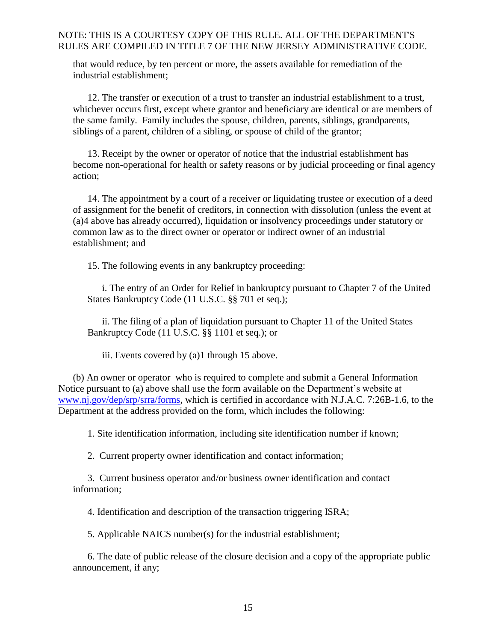that would reduce, by ten percent or more, the assets available for remediation of the industrial establishment;

12. The transfer or execution of a trust to transfer an industrial establishment to a trust, whichever occurs first, except where grantor and beneficiary are identical or are members of the same family. Family includes the spouse, children, parents, siblings, grandparents, siblings of a parent, children of a sibling, or spouse of child of the grantor;

13. Receipt by the owner or operator of notice that the industrial establishment has become non-operational for health or safety reasons or by judicial proceeding or final agency action;

14. The appointment by a court of a receiver or liquidating trustee or execution of a deed of assignment for the benefit of creditors, in connection with dissolution (unless the event at (a)4 above has already occurred), liquidation or insolvency proceedings under statutory or common law as to the direct owner or operator or indirect owner of an industrial establishment; and

15. The following events in any bankruptcy proceeding:

i. The entry of an Order for Relief in bankruptcy pursuant to Chapter 7 of the United States Bankruptcy Code (11 U.S.C. §§ 701 et seq.);

ii. The filing of a plan of liquidation pursuant to Chapter 11 of the United States Bankruptcy Code (11 U.S.C. §§ 1101 et seq.); or

iii. Events covered by (a)1 through 15 above.

(b) An owner or operator who is required to complete and submit a General Information Notice pursuant to (a) above shall use the form available on the Department's website at [www.nj.gov/dep/srp/srra/forms,](http://www.nj.gov/dep/srp/srra/forms) which is certified in accordance with N.J.A.C. 7:26B-1.6, to the Department at the address provided on the form, which includes the following:

1. Site identification information, including site identification number if known;

2. Current property owner identification and contact information;

3. Current business operator and/or business owner identification and contact information;

4. Identification and description of the transaction triggering ISRA;

5. Applicable NAICS number(s) for the industrial establishment;

6. The date of public release of the closure decision and a copy of the appropriate public announcement, if any;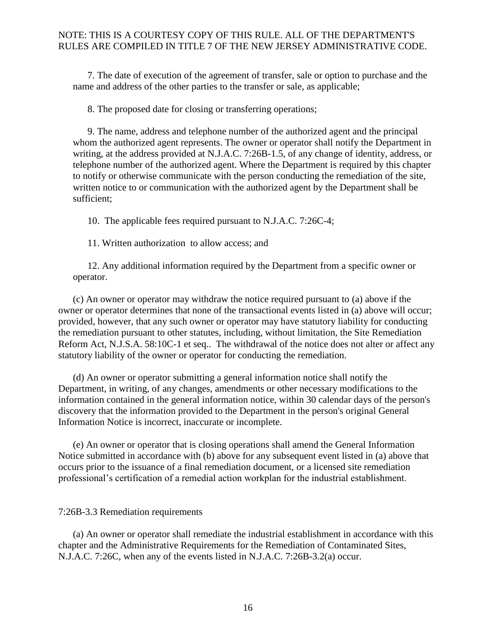7. The date of execution of the agreement of transfer, sale or option to purchase and the name and address of the other parties to the transfer or sale, as applicable;

8. The proposed date for closing or transferring operations;

9. The name, address and telephone number of the authorized agent and the principal whom the authorized agent represents. The owner or operator shall notify the Department in writing, at the address provided at N.J.A.C. 7:26B-1.5, of any change of identity, address, or telephone number of the authorized agent. Where the Department is required by this chapter to notify or otherwise communicate with the person conducting the remediation of the site, written notice to or communication with the authorized agent by the Department shall be sufficient;

10. The applicable fees required pursuant to N.J.A.C. 7:26C-4;

11. Written authorization to allow access; and

12. Any additional information required by the Department from a specific owner or operator.

(c) An owner or operator may withdraw the notice required pursuant to (a) above if the owner or operator determines that none of the transactional events listed in (a) above will occur; provided, however, that any such owner or operator may have statutory liability for conducting the remediation pursuant to other statutes, including, without limitation, the Site Remediation Reform Act, N.J.S.A. 58:10C-1 et seq.. The withdrawal of the notice does not alter or affect any statutory liability of the owner or operator for conducting the remediation.

(d) An owner or operator submitting a general information notice shall notify the Department, in writing, of any changes, amendments or other necessary modifications to the information contained in the general information notice, within 30 calendar days of the person's discovery that the information provided to the Department in the person's original General Information Notice is incorrect, inaccurate or incomplete.

(e) An owner or operator that is closing operations shall amend the General Information Notice submitted in accordance with (b) above for any subsequent event listed in (a) above that occurs prior to the issuance of a final remediation document, or a licensed site remediation professional's certification of a remedial action workplan for the industrial establishment.

<span id="page-17-0"></span>7:26B-3.3 Remediation requirements

(a) An owner or operator shall remediate the industrial establishment in accordance with this chapter and the Administrative Requirements for the Remediation of Contaminated Sites, N.J.A.C. 7:26C, when any of the events listed in N.J.A.C. 7:26B-3.2(a) occur.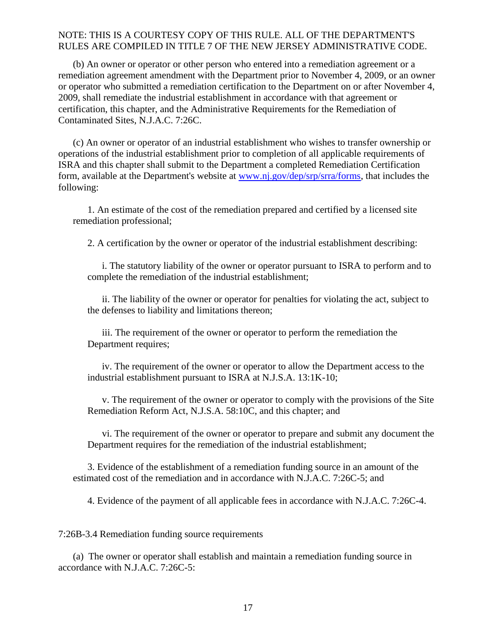(b) An owner or operator or other person who entered into a remediation agreement or a remediation agreement amendment with the Department prior to November 4, 2009, or an owner or operator who submitted a remediation certification to the Department on or after November 4, 2009, shall remediate the industrial establishment in accordance with that agreement or certification, this chapter, and the Administrative Requirements for the Remediation of Contaminated Sites, N.J.A.C. 7:26C.

(c) An owner or operator of an industrial establishment who wishes to transfer ownership or operations of the industrial establishment prior to completion of all applicable requirements of ISRA and this chapter shall submit to the Department a completed Remediation Certification form, available at the Department's website at [www.nj.gov/dep/srp/srra/forms,](http://www.nj.gov/dep/srp/srra/forms) that includes the following:

1. An estimate of the cost of the remediation prepared and certified by a licensed site remediation professional;

2. A certification by the owner or operator of the industrial establishment describing:

i. The statutory liability of the owner or operator pursuant to ISRA to perform and to complete the remediation of the industrial establishment;

ii. The liability of the owner or operator for penalties for violating the act, subject to the defenses to liability and limitations thereon;

iii. The requirement of the owner or operator to perform the remediation the Department requires;

iv. The requirement of the owner or operator to allow the Department access to the industrial establishment pursuant to ISRA at N.J.S.A. 13:1K-10;

v. The requirement of the owner or operator to comply with the provisions of the Site Remediation Reform Act, N.J.S.A. 58:10C, and this chapter; and

vi. The requirement of the owner or operator to prepare and submit any document the Department requires for the remediation of the industrial establishment;

3. Evidence of the establishment of a remediation funding source in an amount of the estimated cost of the remediation and in accordance with N.J.A.C. 7:26C-5; and

4. Evidence of the payment of all applicable fees in accordance with N.J.A.C. 7:26C-4.

<span id="page-18-0"></span>7:26B-3.4 Remediation funding source requirements

(a) The owner or operator shall establish and maintain a remediation funding source in accordance with N.J.A.C. 7:26C-5: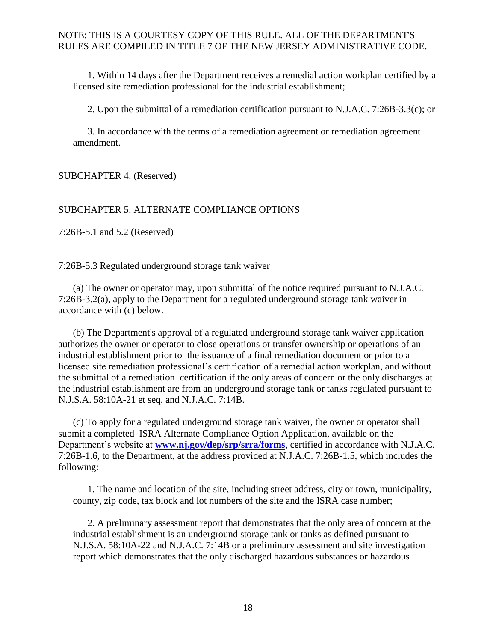1. Within 14 days after the Department receives a remedial action workplan certified by a licensed site remediation professional for the industrial establishment;

2. Upon the submittal of a remediation certification pursuant to N.J.A.C. 7:26B-3.3(c); or

3. In accordance with the terms of a remediation agreement or remediation agreement amendment.

<span id="page-19-0"></span>SUBCHAPTER 4. (Reserved)

#### <span id="page-19-1"></span>SUBCHAPTER 5. ALTERNATE COMPLIANCE OPTIONS

<span id="page-19-2"></span>7:26B-5.1 and 5.2 (Reserved)

<span id="page-19-3"></span>7:26B-5.3 Regulated underground storage tank waiver

(a) The owner or operator may, upon submittal of the notice required pursuant to N.J.A.C. 7:26B-3.2(a), apply to the Department for a regulated underground storage tank waiver in accordance with (c) below.

(b) The Department's approval of a regulated underground storage tank waiver application authorizes the owner or operator to close operations or transfer ownership or operations of an industrial establishment prior to the issuance of a final remediation document or prior to a licensed site remediation professional's certification of a remedial action workplan, and without the submittal of a remediation certification if the only areas of concern or the only discharges at the industrial establishment are from an underground storage tank or tanks regulated pursuant to N.J.S.A. 58:10A-21 et seq. and N.J.A.C. 7:14B.

(c) To apply for a regulated underground storage tank waiver, the owner or operator shall submit a completed ISRA Alternate Compliance Option Application, available on the Department's website at **[www.nj.gov/dep/srp/srra/forms](http://www.nj.gov/dep/srp/srra/forms)**, certified in accordance with N.J.A.C. 7:26B-1.6, to the Department, at the address provided at N.J.A.C. 7:26B-1.5, which includes the following:

1. The name and location of the site, including street address, city or town, municipality, county, zip code, tax block and lot numbers of the site and the ISRA case number;

2. A preliminary assessment report that demonstrates that the only area of concern at the industrial establishment is an underground storage tank or tanks as defined pursuant to N.J.S.A. 58:10A-22 and N.J.A.C. 7:14B or a preliminary assessment and site investigation report which demonstrates that the only discharged hazardous substances or hazardous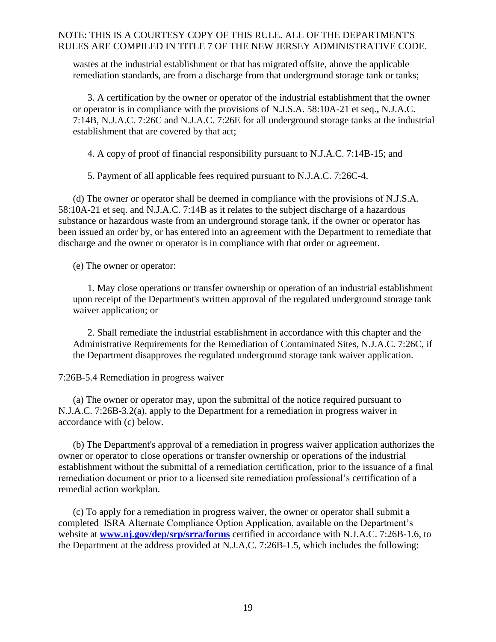wastes at the industrial establishment or that has migrated offsite, above the applicable remediation standards, are from a discharge from that underground storage tank or tanks;

3. A certification by the owner or operator of the industrial establishment that the owner or operator is in compliance with the provisions of N.J.S.A. 58:10A-21 et seq.**,** N.J.A.C. 7:14B, N.J.A.C. 7:26C and N.J.A.C. 7:26E for all underground storage tanks at the industrial establishment that are covered by that act;

4. A copy of proof of financial responsibility pursuant to N.J.A.C. 7:14B-15; and

5. Payment of all applicable fees required pursuant to N.J.A.C. 7:26C-4.

(d) The owner or operator shall be deemed in compliance with the provisions of N.J.S.A. 58:10A-21 et seq. and N.J.A.C. 7:14B as it relates to the subject discharge of a hazardous substance or hazardous waste from an underground storage tank, if the owner or operator has been issued an order by, or has entered into an agreement with the Department to remediate that discharge and the owner or operator is in compliance with that order or agreement.

(e) The owner or operator:

1. May close operations or transfer ownership or operation of an industrial establishment upon receipt of the Department's written approval of the regulated underground storage tank waiver application; or

2. Shall remediate the industrial establishment in accordance with this chapter and the Administrative Requirements for the Remediation of Contaminated Sites, N.J.A.C. 7:26C, if the Department disapproves the regulated underground storage tank waiver application.

### <span id="page-20-0"></span>7:26B-5.4 Remediation in progress waiver

(a) The owner or operator may, upon the submittal of the notice required pursuant to N.J.A.C. 7:26B-3.2(a), apply to the Department for a remediation in progress waiver in accordance with (c) below.

(b) The Department's approval of a remediation in progress waiver application authorizes the owner or operator to close operations or transfer ownership or operations of the industrial establishment without the submittal of a remediation certification, prior to the issuance of a final remediation document or prior to a licensed site remediation professional's certification of a remedial action workplan.

(c) To apply for a remediation in progress waiver, the owner or operator shall submit a completed ISRA Alternate Compliance Option Application, available on the Department's website at **[www.nj.gov/dep/srp/srra/forms](http://www.nj.gov/dep/srp/srra/forms)** certified in accordance with N.J.A.C. 7:26B-1.6, to the Department at the address provided at N.J.A.C. 7:26B-1.5, which includes the following: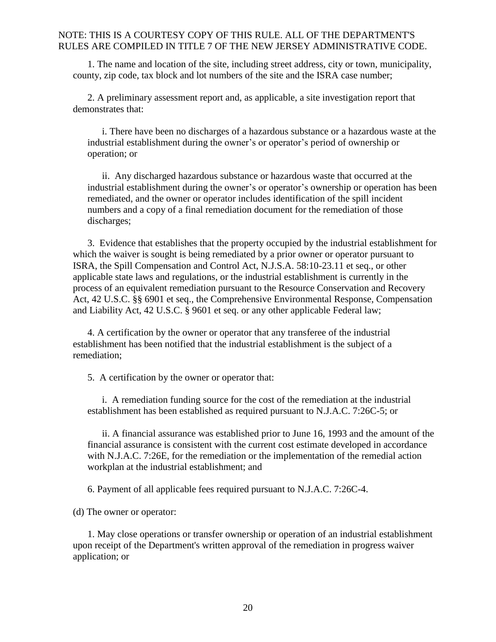1. The name and location of the site, including street address, city or town, municipality, county, zip code, tax block and lot numbers of the site and the ISRA case number;

2. A preliminary assessment report and, as applicable, a site investigation report that demonstrates that:

i. There have been no discharges of a hazardous substance or a hazardous waste at the industrial establishment during the owner's or operator's period of ownership or operation; or

ii. Any discharged hazardous substance or hazardous waste that occurred at the industrial establishment during the owner's or operator's ownership or operation has been remediated, and the owner or operator includes identification of the spill incident numbers and a copy of a final remediation document for the remediation of those discharges;

3.Evidence that establishes that the property occupied by the industrial establishment for which the waiver is sought is being remediated by a prior owner or operator pursuant to ISRA, the Spill Compensation and Control Act, N.J.S.A. 58:10-23.11 et seq., or other applicable state laws and regulations, or the industrial establishment is currently in the process of an equivalent remediation pursuant to the Resource Conservation and Recovery Act, 42 U.S.C. §§ 6901 et seq., the Comprehensive Environmental Response, Compensation and Liability Act, 42 U.S.C. § 9601 et seq. or any other applicable Federal law;

4. A certification by the owner or operator that any transferee of the industrial establishment has been notified that the industrial establishment is the subject of a remediation;

5. A certification by the owner or operator that:

i. A remediation funding source for the cost of the remediation at the industrial establishment has been established as required pursuant to N.J.A.C. 7:26C-5; or

ii. A financial assurance was established prior to June 16, 1993 and the amount of the financial assurance is consistent with the current cost estimate developed in accordance with N.J.A.C. 7:26E, for the remediation or the implementation of the remedial action workplan at the industrial establishment; and

6. Payment of all applicable fees required pursuant to N.J.A.C. 7:26C-4.

(d) The owner or operator:

1. May close operations or transfer ownership or operation of an industrial establishment upon receipt of the Department's written approval of the remediation in progress waiver application; or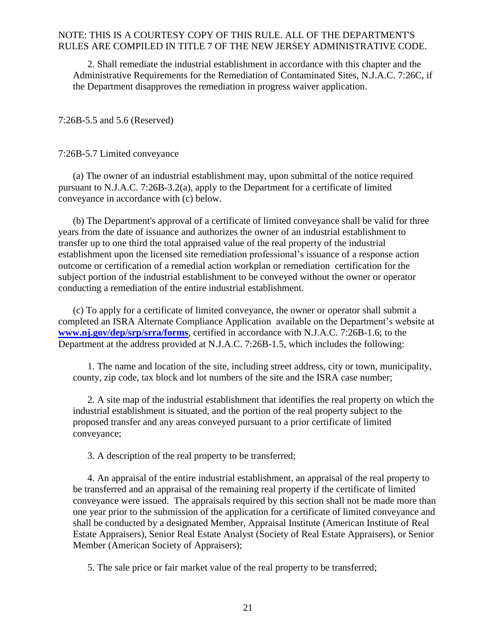2. Shall remediate the industrial establishment in accordance with this chapter and the Administrative Requirements for the Remediation of Contaminated Sites, N.J.A.C. 7:26C, if the Department disapproves the remediation in progress waiver application.

<span id="page-22-0"></span>7:26B-5.5 and 5.6 (Reserved)

<span id="page-22-1"></span>7:26B-5.7 Limited conveyance

(a) The owner of an industrial establishment may, upon submittal of the notice required pursuant to N.J.A.C. 7:26B-3.2(a), apply to the Department for a certificate of limited conveyance in accordance with (c) below.

(b) The Department's approval of a certificate of limited conveyance shall be valid for three years from the date of issuance and authorizes the owner of an industrial establishment to transfer up to one third the total appraised value of the real property of the industrial establishment upon the licensed site remediation professional's issuance of a response action outcome or certification of a remedial action workplan or remediation certification for the subject portion of the industrial establishment to be conveyed without the owner or operator conducting a remediation of the entire industrial establishment.

(c) To apply for a certificate of limited conveyance, the owner or operator shall submit a completed an ISRA Alternate Compliance Application available on the Department's website at **[www.nj.gov/dep/srp/srra/forms](http://www.nj.gov/dep/srp/srra/forms)**, certified in accordance with N.J.A.C. 7:26B-1.6; to the Department at the address provided at N.J.A.C. 7:26B-1.5, which includes the following:

1. The name and location of the site, including street address, city or town, municipality, county, zip code, tax block and lot numbers of the site and the ISRA case number;

2. A site map of the industrial establishment that identifies the real property on which the industrial establishment is situated, and the portion of the real property subject to the proposed transfer and any areas conveyed pursuant to a prior certificate of limited conveyance;

3. A description of the real property to be transferred;

4. An appraisal of the entire industrial establishment, an appraisal of the real property to be transferred and an appraisal of the remaining real property if the certificate of limited conveyance were issued. The appraisals required by this section shall not be made more than one year prior to the submission of the application for a certificate of limited conveyance and shall be conducted by a designated Member, Appraisal Institute (American Institute of Real Estate Appraisers), Senior Real Estate Analyst (Society of Real Estate Appraisers), or Senior Member (American Society of Appraisers);

5. The sale price or fair market value of the real property to be transferred;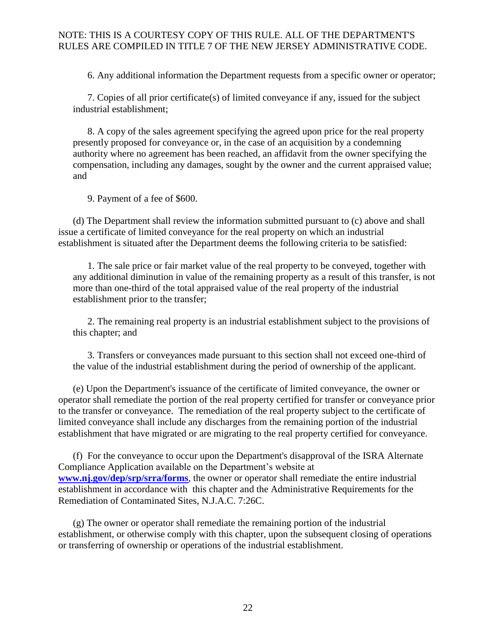6. Any additional information the Department requests from a specific owner or operator;

7. Copies of all prior certificate(s) of limited conveyance if any, issued for the subject industrial establishment;

8. A copy of the sales agreement specifying the agreed upon price for the real property presently proposed for conveyance or, in the case of an acquisition by a condemning authority where no agreement has been reached, an affidavit from the owner specifying the compensation, including any damages, sought by the owner and the current appraised value; and

9. Payment of a fee of \$600.

(d) The Department shall review the information submitted pursuant to (c) above and shall issue a certificate of limited conveyance for the real property on which an industrial establishment is situated after the Department deems the following criteria to be satisfied:

1. The sale price or fair market value of the real property to be conveyed, together with any additional diminution in value of the remaining property as a result of this transfer, is not more than one-third of the total appraised value of the real property of the industrial establishment prior to the transfer;

2. The remaining real property is an industrial establishment subject to the provisions of this chapter; and

3. Transfers or conveyances made pursuant to this section shall not exceed one-third of the value of the industrial establishment during the period of ownership of the applicant.

(e) Upon the Department's issuance of the certificate of limited conveyance, the owner or operator shall remediate the portion of the real property certified for transfer or conveyance prior to the transfer or conveyance. The remediation of the real property subject to the certificate of limited conveyance shall include any discharges from the remaining portion of the industrial establishment that have migrated or are migrating to the real property certified for conveyance.

(f) For the conveyance to occur upon the Department's disapproval of the ISRA Alternate Compliance Application available on the Department's website at **[www.nj.gov/dep/srp/srra/forms](http://www.nj.gov/dep/srp/srra/forms)**, the owner or operator shall remediate the entire industrial establishment in accordance with this chapter and the Administrative Requirements for the Remediation of Contaminated Sites, N.J.A.C. 7:26C.

(g) The owner or operator shall remediate the remaining portion of the industrial establishment, or otherwise comply with this chapter, upon the subsequent closing of operations or transferring of ownership or operations of the industrial establishment.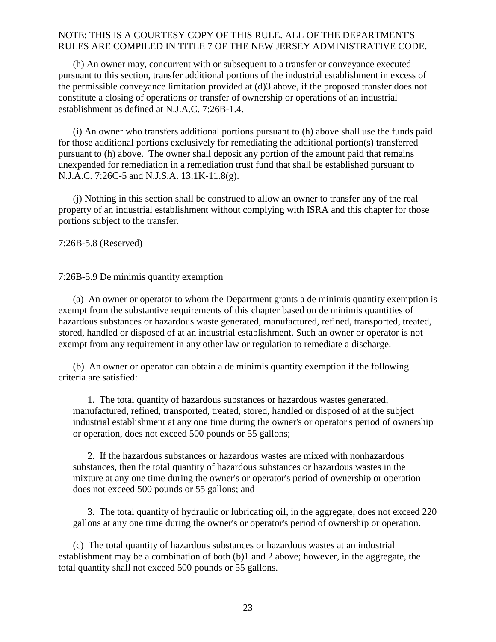(h) An owner may, concurrent with or subsequent to a transfer or conveyance executed pursuant to this section, transfer additional portions of the industrial establishment in excess of the permissible conveyance limitation provided at (d)3 above, if the proposed transfer does not constitute a closing of operations or transfer of ownership or operations of an industrial establishment as defined at N.J.A.C. 7:26B-1.4.

(i) An owner who transfers additional portions pursuant to (h) above shall use the funds paid for those additional portions exclusively for remediating the additional portion(s) transferred pursuant to (h) above. The owner shall deposit any portion of the amount paid that remains unexpended for remediation in a remediation trust fund that shall be established pursuant to N.J.A.C. 7:26C-5 and N.J.S.A. 13:1K-11.8(g).

(j) Nothing in this section shall be construed to allow an owner to transfer any of the real property of an industrial establishment without complying with ISRA and this chapter for those portions subject to the transfer.

<span id="page-24-0"></span>7:26B-5.8 (Reserved)

#### <span id="page-24-1"></span>7:26B-5.9 De minimis quantity exemption

(a) An owner or operator to whom the Department grants a de minimis quantity exemption is exempt from the substantive requirements of this chapter based on de minimis quantities of hazardous substances or hazardous waste generated, manufactured, refined, transported, treated, stored, handled or disposed of at an industrial establishment. Such an owner or operator is not exempt from any requirement in any other law or regulation to remediate a discharge.

(b) An owner or operator can obtain a de minimis quantity exemption if the following criteria are satisfied:

1. The total quantity of hazardous substances or hazardous wastes generated, manufactured, refined, transported, treated, stored, handled or disposed of at the subject industrial establishment at any one time during the owner's or operator's period of ownership or operation, does not exceed 500 pounds or 55 gallons;

2. If the hazardous substances or hazardous wastes are mixed with nonhazardous substances, then the total quantity of hazardous substances or hazardous wastes in the mixture at any one time during the owner's or operator's period of ownership or operation does not exceed 500 pounds or 55 gallons; and

3. The total quantity of hydraulic or lubricating oil, in the aggregate, does not exceed 220 gallons at any one time during the owner's or operator's period of ownership or operation.

(c) The total quantity of hazardous substances or hazardous wastes at an industrial establishment may be a combination of both (b)1 and 2 above; however, in the aggregate, the total quantity shall not exceed 500 pounds or 55 gallons.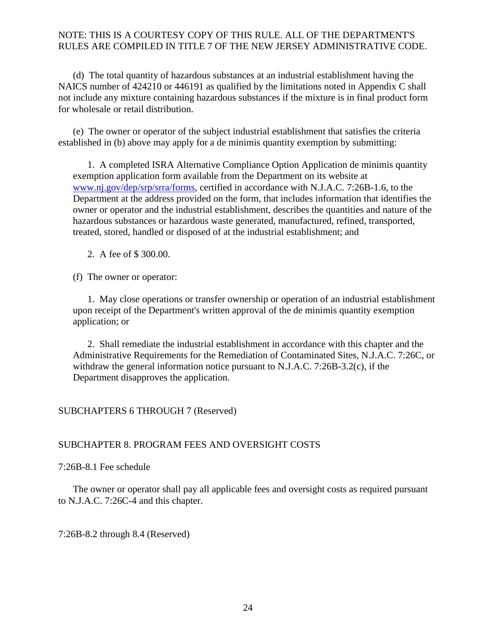(d) The total quantity of hazardous substances at an industrial establishment having the NAICS number of 424210 or 446191 as qualified by the limitations noted in Appendix C shall not include any mixture containing hazardous substances if the mixture is in final product form for wholesale or retail distribution.

(e) The owner or operator of the subject industrial establishment that satisfies the criteria established in (b) above may apply for a de minimis quantity exemption by submitting:

1. A completed ISRA Alternative Compliance Option Application de minimis quantity exemption application form available from the Department on its website at [www.nj.gov/dep/srp/srra/forms,](http://www.nj.gov/dep/srp/srra/forms) certified in accordance with N.J.A.C. 7:26B-1.6, to the Department at the address provided on the form, that includes information that identifies the owner or operator and the industrial establishment, describes the quantities and nature of the hazardous substances or hazardous waste generated, manufactured, refined, transported, treated, stored, handled or disposed of at the industrial establishment; and

2. A fee of \$ 300.00.

(f) The owner or operator:

1. May close operations or transfer ownership or operation of an industrial establishment upon receipt of the Department's written approval of the de minimis quantity exemption application; or

2. Shall remediate the industrial establishment in accordance with this chapter and the Administrative Requirements for the Remediation of Contaminated Sites, N.J.A.C. 7:26C, or withdraw the general information notice pursuant to N.J.A.C. 7:26B-3.2(c), if the Department disapproves the application.

### <span id="page-25-0"></span>SUBCHAPTERS 6 THROUGH 7 (Reserved)

### <span id="page-25-1"></span>SUBCHAPTER 8. PROGRAM FEES AND OVERSIGHT COSTS

<span id="page-25-2"></span>7:26B-8.1 Fee schedule

The owner or operator shall pay all applicable fees and oversight costs as required pursuant to N.J.A.C. 7:26C-4 and this chapter.

<span id="page-25-3"></span>7:26B-8.2 through 8.4 (Reserved)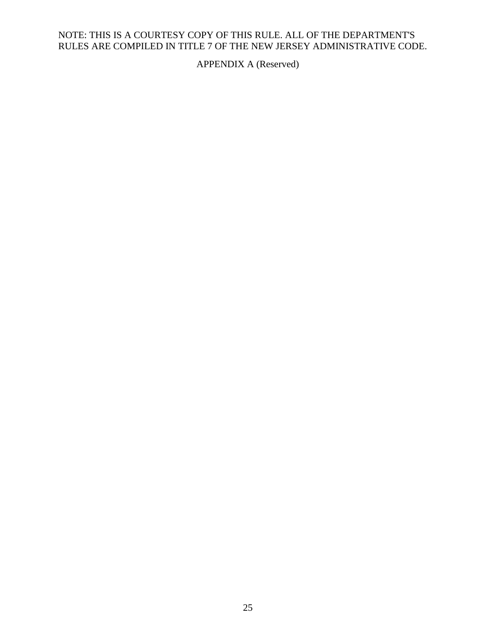<span id="page-26-0"></span>APPENDIX A (Reserved)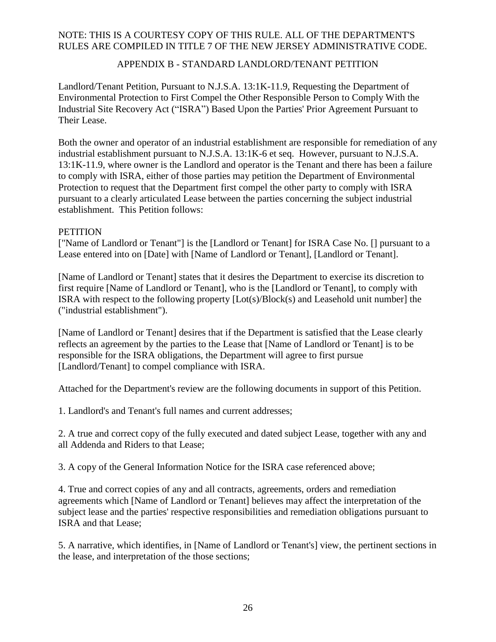### APPENDIX B - STANDARD LANDLORD/TENANT PETITION

<span id="page-27-0"></span>Landlord/Tenant Petition, Pursuant to N.J.S.A. 13:1K-11.9, Requesting the Department of Environmental Protection to First Compel the Other Responsible Person to Comply With the Industrial Site Recovery Act ("ISRA") Based Upon the Parties' Prior Agreement Pursuant to Their Lease.

Both the owner and operator of an industrial establishment are responsible for remediation of any industrial establishment pursuant to N.J.S.A. 13:1K-6 et seq. However, pursuant to N.J.S.A. 13:1K-11.9, where owner is the Landlord and operator is the Tenant and there has been a failure to comply with ISRA, either of those parties may petition the Department of Environmental Protection to request that the Department first compel the other party to comply with ISRA pursuant to a clearly articulated Lease between the parties concerning the subject industrial establishment. This Petition follows:

#### **PETITION**

["Name of Landlord or Tenant"] is the [Landlord or Tenant] for ISRA Case No. [] pursuant to a Lease entered into on [Date] with [Name of Landlord or Tenant], [Landlord or Tenant].

[Name of Landlord or Tenant] states that it desires the Department to exercise its discretion to first require [Name of Landlord or Tenant], who is the [Landlord or Tenant], to comply with ISRA with respect to the following property [Lot(s)/Block(s) and Leasehold unit number] the ("industrial establishment").

[Name of Landlord or Tenant] desires that if the Department is satisfied that the Lease clearly reflects an agreement by the parties to the Lease that [Name of Landlord or Tenant] is to be responsible for the ISRA obligations, the Department will agree to first pursue [Landlord/Tenant] to compel compliance with ISRA.

Attached for the Department's review are the following documents in support of this Petition.

1. Landlord's and Tenant's full names and current addresses;

2. A true and correct copy of the fully executed and dated subject Lease, together with any and all Addenda and Riders to that Lease;

3. A copy of the General Information Notice for the ISRA case referenced above;

4. True and correct copies of any and all contracts, agreements, orders and remediation agreements which [Name of Landlord or Tenant] believes may affect the interpretation of the subject lease and the parties' respective responsibilities and remediation obligations pursuant to ISRA and that Lease;

5. A narrative, which identifies, in [Name of Landlord or Tenant's] view, the pertinent sections in the lease, and interpretation of the those sections;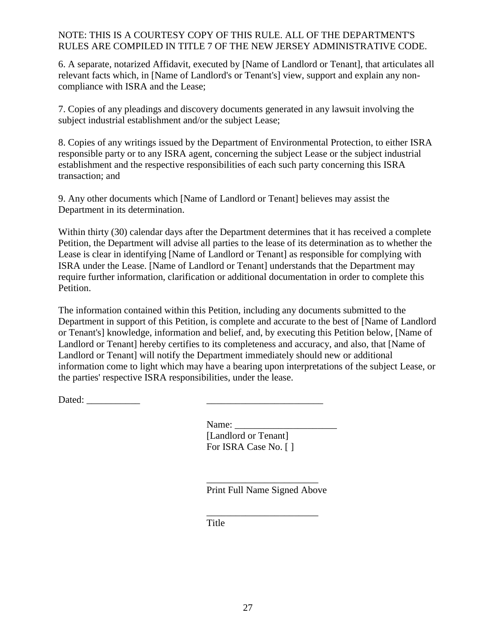6. A separate, notarized Affidavit, executed by [Name of Landlord or Tenant], that articulates all relevant facts which, in [Name of Landlord's or Tenant's] view, support and explain any noncompliance with ISRA and the Lease;

7. Copies of any pleadings and discovery documents generated in any lawsuit involving the subject industrial establishment and/or the subject Lease;

8. Copies of any writings issued by the Department of Environmental Protection, to either ISRA responsible party or to any ISRA agent, concerning the subject Lease or the subject industrial establishment and the respective responsibilities of each such party concerning this ISRA transaction; and

9. Any other documents which [Name of Landlord or Tenant] believes may assist the Department in its determination.

Within thirty (30) calendar days after the Department determines that it has received a complete Petition, the Department will advise all parties to the lease of its determination as to whether the Lease is clear in identifying [Name of Landlord or Tenant] as responsible for complying with ISRA under the Lease. [Name of Landlord or Tenant] understands that the Department may require further information, clarification or additional documentation in order to complete this Petition.

The information contained within this Petition, including any documents submitted to the Department in support of this Petition, is complete and accurate to the best of [Name of Landlord or Tenant's] knowledge, information and belief, and, by executing this Petition below, [Name of Landlord or Tenant] hereby certifies to its completeness and accuracy, and also, that [Name of Landlord or Tenant] will notify the Department immediately should new or additional information come to light which may have a bearing upon interpretations of the subject Lease, or the parties' respective ISRA responsibilities, under the lease.

Dated: \_\_\_\_\_\_\_\_\_\_\_ \_\_\_\_\_\_\_\_\_\_\_\_\_\_\_\_\_\_\_\_\_\_\_\_

Name: \_\_\_\_\_\_\_\_\_\_\_\_\_\_\_\_\_\_\_\_\_ [Landlord or Tenant] For ISRA Case No. [ ]

\_\_\_\_\_\_\_\_\_\_\_\_\_\_\_\_\_\_\_\_\_\_\_ Print Full Name Signed Above

\_\_\_\_\_\_\_\_\_\_\_\_\_\_\_\_\_\_\_\_\_\_\_

Title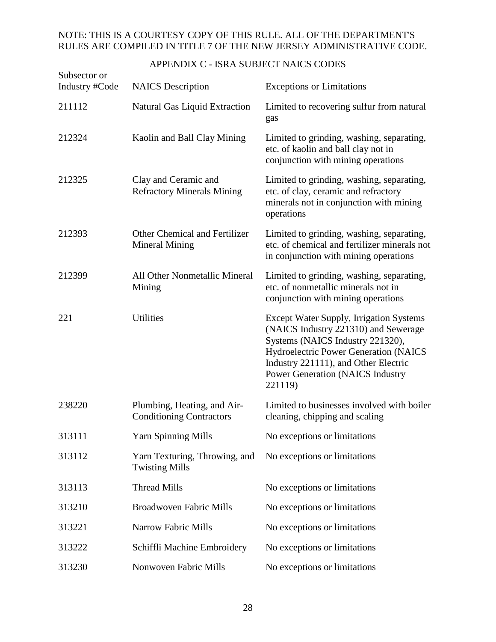<span id="page-29-0"></span>

| Subsector or<br>Industry #Code | <b>NAICS</b> Description                                       | <b>Exceptions or Limitations</b>                                                                                                                                                                                                                                  |
|--------------------------------|----------------------------------------------------------------|-------------------------------------------------------------------------------------------------------------------------------------------------------------------------------------------------------------------------------------------------------------------|
| 211112                         | <b>Natural Gas Liquid Extraction</b>                           | Limited to recovering sulfur from natural<br>gas                                                                                                                                                                                                                  |
| 212324                         | Kaolin and Ball Clay Mining                                    | Limited to grinding, washing, separating,<br>etc. of kaolin and ball clay not in<br>conjunction with mining operations                                                                                                                                            |
| 212325                         | Clay and Ceramic and<br><b>Refractory Minerals Mining</b>      | Limited to grinding, washing, separating,<br>etc. of clay, ceramic and refractory<br>minerals not in conjunction with mining<br>operations                                                                                                                        |
| 212393                         | Other Chemical and Fertilizer<br><b>Mineral Mining</b>         | Limited to grinding, washing, separating,<br>etc. of chemical and fertilizer minerals not<br>in conjunction with mining operations                                                                                                                                |
| 212399                         | All Other Nonmetallic Mineral<br>Mining                        | Limited to grinding, washing, separating,<br>etc. of nonmetallic minerals not in<br>conjunction with mining operations                                                                                                                                            |
| 221                            | Utilities                                                      | <b>Except Water Supply, Irrigation Systems</b><br>(NAICS Industry 221310) and Sewerage<br>Systems (NAICS Industry 221320),<br>Hydroelectric Power Generation (NAICS<br>Industry 221111), and Other Electric<br><b>Power Generation (NAICS Industry</b><br>221119) |
| 238220                         | Plumbing, Heating, and Air-<br><b>Conditioning Contractors</b> | Limited to businesses involved with boiler<br>cleaning, chipping and scaling                                                                                                                                                                                      |
| 313111                         | <b>Yarn Spinning Mills</b>                                     | No exceptions or limitations                                                                                                                                                                                                                                      |
| 313112                         | Yarn Texturing, Throwing, and<br><b>Twisting Mills</b>         | No exceptions or limitations                                                                                                                                                                                                                                      |
| 313113                         | <b>Thread Mills</b>                                            | No exceptions or limitations                                                                                                                                                                                                                                      |
| 313210                         | Broadwoven Fabric Mills                                        | No exceptions or limitations                                                                                                                                                                                                                                      |
| 313221                         | <b>Narrow Fabric Mills</b>                                     | No exceptions or limitations                                                                                                                                                                                                                                      |
| 313222                         | Schiffli Machine Embroidery                                    | No exceptions or limitations                                                                                                                                                                                                                                      |
| 313230                         | <b>Nonwoven Fabric Mills</b>                                   | No exceptions or limitations                                                                                                                                                                                                                                      |

# APPENDIX C - ISRA SUBJECT NAICS CODES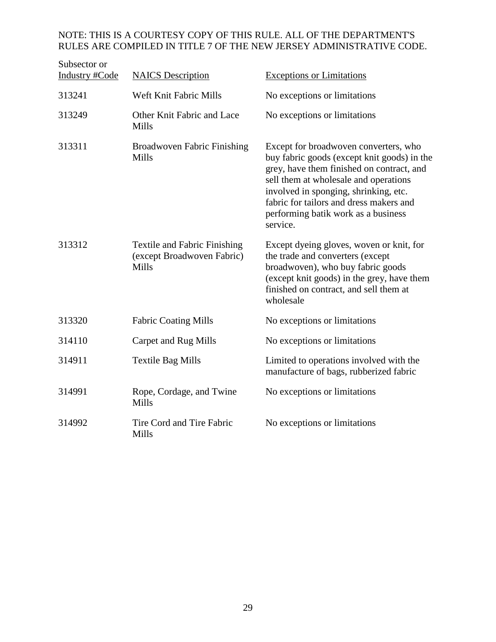| Subsector or<br>Industry #Code | <b>NAICS</b> Description                                                          | <b>Exceptions or Limitations</b>                                                                                                                                                                                                                                                                                  |
|--------------------------------|-----------------------------------------------------------------------------------|-------------------------------------------------------------------------------------------------------------------------------------------------------------------------------------------------------------------------------------------------------------------------------------------------------------------|
| 313241                         | Weft Knit Fabric Mills                                                            | No exceptions or limitations                                                                                                                                                                                                                                                                                      |
| 313249                         | Other Knit Fabric and Lace<br><b>Mills</b>                                        | No exceptions or limitations                                                                                                                                                                                                                                                                                      |
| 313311                         | <b>Broadwoven Fabric Finishing</b><br><b>Mills</b>                                | Except for broadwoven converters, who<br>buy fabric goods (except knit goods) in the<br>grey, have them finished on contract, and<br>sell them at wholesale and operations<br>involved in sponging, shrinking, etc.<br>fabric for tailors and dress makers and<br>performing batik work as a business<br>service. |
| 313312                         | <b>Textile and Fabric Finishing</b><br>(except Broadwoven Fabric)<br><b>Mills</b> | Except dyeing gloves, woven or knit, for<br>the trade and converters (except<br>broadwoven), who buy fabric goods<br>(except knit goods) in the grey, have them<br>finished on contract, and sell them at<br>wholesale                                                                                            |
| 313320                         | <b>Fabric Coating Mills</b>                                                       | No exceptions or limitations                                                                                                                                                                                                                                                                                      |
| 314110                         | Carpet and Rug Mills                                                              | No exceptions or limitations                                                                                                                                                                                                                                                                                      |
| 314911                         | <b>Textile Bag Mills</b>                                                          | Limited to operations involved with the<br>manufacture of bags, rubberized fabric                                                                                                                                                                                                                                 |
| 314991                         | Rope, Cordage, and Twine<br><b>Mills</b>                                          | No exceptions or limitations                                                                                                                                                                                                                                                                                      |
| 314992                         | Tire Cord and Tire Fabric<br>Mills                                                | No exceptions or limitations                                                                                                                                                                                                                                                                                      |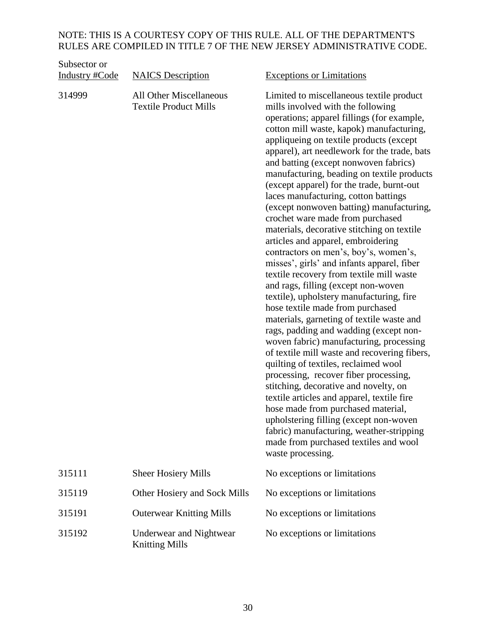| Subsector or<br><b>Industry #Code</b> | <b>NAICS</b> Description                                | <b>Exceptions or Limitations</b>                                                                                                                                                                                                                                                                                                                                                                                                                                                                                                                                                                                                                                                                                                                                                                                                                                                                                                                                                                                                                                                                                                                                                                                                                                                                                                                                                                                                 |
|---------------------------------------|---------------------------------------------------------|----------------------------------------------------------------------------------------------------------------------------------------------------------------------------------------------------------------------------------------------------------------------------------------------------------------------------------------------------------------------------------------------------------------------------------------------------------------------------------------------------------------------------------------------------------------------------------------------------------------------------------------------------------------------------------------------------------------------------------------------------------------------------------------------------------------------------------------------------------------------------------------------------------------------------------------------------------------------------------------------------------------------------------------------------------------------------------------------------------------------------------------------------------------------------------------------------------------------------------------------------------------------------------------------------------------------------------------------------------------------------------------------------------------------------------|
| 314999                                | All Other Miscellaneous<br><b>Textile Product Mills</b> | Limited to miscellaneous textile product<br>mills involved with the following<br>operations; apparel fillings (for example,<br>cotton mill waste, kapok) manufacturing,<br>appliqueing on textile products (except<br>apparel), art needlework for the trade, bats<br>and batting (except nonwoven fabrics)<br>manufacturing, beading on textile products<br>(except apparel) for the trade, burnt-out<br>laces manufacturing, cotton battings<br>(except nonwoven batting) manufacturing,<br>crochet ware made from purchased<br>materials, decorative stitching on textile<br>articles and apparel, embroidering<br>contractors on men's, boy's, women's,<br>misses', girls' and infants apparel, fiber<br>textile recovery from textile mill waste<br>and rags, filling (except non-woven<br>textile), upholstery manufacturing, fire<br>hose textile made from purchased<br>materials, garneting of textile waste and<br>rags, padding and wadding (except non-<br>woven fabric) manufacturing, processing<br>of textile mill waste and recovering fibers,<br>quilting of textiles, reclaimed wool<br>processing, recover fiber processing,<br>stitching, decorative and novelty, on<br>textile articles and apparel, textile fire<br>hose made from purchased material,<br>upholstering filling (except non-woven<br>fabric) manufacturing, weather-stripping<br>made from purchased textiles and wool<br>waste processing. |
| 315111                                | <b>Sheer Hosiery Mills</b>                              | No exceptions or limitations                                                                                                                                                                                                                                                                                                                                                                                                                                                                                                                                                                                                                                                                                                                                                                                                                                                                                                                                                                                                                                                                                                                                                                                                                                                                                                                                                                                                     |
| 315119                                | Other Hosiery and Sock Mills                            | No exceptions or limitations                                                                                                                                                                                                                                                                                                                                                                                                                                                                                                                                                                                                                                                                                                                                                                                                                                                                                                                                                                                                                                                                                                                                                                                                                                                                                                                                                                                                     |
| 315191                                | <b>Outerwear Knitting Mills</b>                         | No exceptions or limitations                                                                                                                                                                                                                                                                                                                                                                                                                                                                                                                                                                                                                                                                                                                                                                                                                                                                                                                                                                                                                                                                                                                                                                                                                                                                                                                                                                                                     |
| 315192                                | Underwear and Nightwear<br><b>Knitting Mills</b>        | No exceptions or limitations                                                                                                                                                                                                                                                                                                                                                                                                                                                                                                                                                                                                                                                                                                                                                                                                                                                                                                                                                                                                                                                                                                                                                                                                                                                                                                                                                                                                     |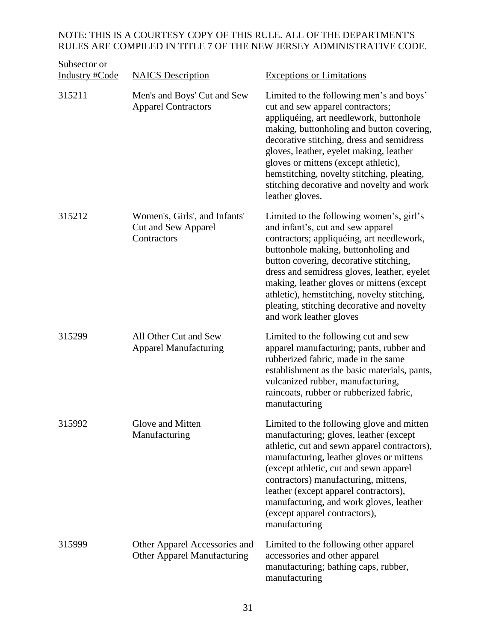| Subsector or<br><b>Industry #Code</b> | <b>NAICS</b> Description                                            | <b>Exceptions or Limitations</b>                                                                                                                                                                                                                                                                                                                                                                                                |
|---------------------------------------|---------------------------------------------------------------------|---------------------------------------------------------------------------------------------------------------------------------------------------------------------------------------------------------------------------------------------------------------------------------------------------------------------------------------------------------------------------------------------------------------------------------|
| 315211                                | Men's and Boys' Cut and Sew<br><b>Apparel Contractors</b>           | Limited to the following men's and boys'<br>cut and sew apparel contractors;<br>appliquéing, art needlework, buttonhole<br>making, buttonholing and button covering,<br>decorative stitching, dress and semidress<br>gloves, leather, eyelet making, leather<br>gloves or mittens (except athletic),<br>hemstitching, novelty stitching, pleating,<br>stitching decorative and novelty and work<br>leather gloves.              |
| 315212                                | Women's, Girls', and Infants'<br>Cut and Sew Apparel<br>Contractors | Limited to the following women's, girl's<br>and infant's, cut and sew apparel<br>contractors; appliquéing, art needlework,<br>buttonhole making, buttonholing and<br>button covering, decorative stitching,<br>dress and semidress gloves, leather, eyelet<br>making, leather gloves or mittens (except<br>athletic), hemstitching, novelty stitching,<br>pleating, stitching decorative and novelty<br>and work leather gloves |
| 315299                                | All Other Cut and Sew<br><b>Apparel Manufacturing</b>               | Limited to the following cut and sew<br>apparel manufacturing; pants, rubber and<br>rubberized fabric, made in the same<br>establishment as the basic materials, pants,<br>vulcanized rubber, manufacturing,<br>raincoats, rubber or rubberized fabric,<br>manufacturing                                                                                                                                                        |
| 315992                                | Glove and Mitten<br>Manufacturing                                   | Limited to the following glove and mitten<br>manufacturing; gloves, leather (except<br>athletic, cut and sewn apparel contractors),<br>manufacturing, leather gloves or mittens<br>(except athletic, cut and sewn apparel<br>contractors) manufacturing, mittens,<br>leather (except apparel contractors),<br>manufacturing, and work gloves, leather<br>(except apparel contractors),<br>manufacturing                         |
| 315999                                | Other Apparel Accessories and<br><b>Other Apparel Manufacturing</b> | Limited to the following other apparel<br>accessories and other apparel<br>manufacturing; bathing caps, rubber,<br>manufacturing                                                                                                                                                                                                                                                                                                |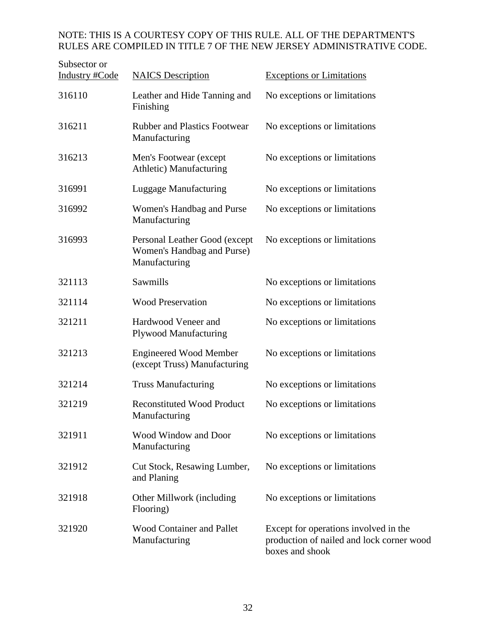| Subsector or<br>Industry #Code | <b>NAICS</b> Description                                                     | <b>Exceptions or Limitations</b>                                                                      |
|--------------------------------|------------------------------------------------------------------------------|-------------------------------------------------------------------------------------------------------|
| 316110                         | Leather and Hide Tanning and<br>Finishing                                    | No exceptions or limitations                                                                          |
| 316211                         | <b>Rubber and Plastics Footwear</b><br>Manufacturing                         | No exceptions or limitations                                                                          |
| 316213                         | Men's Footwear (except<br>Athletic) Manufacturing                            | No exceptions or limitations                                                                          |
| 316991                         | Luggage Manufacturing                                                        | No exceptions or limitations                                                                          |
| 316992                         | Women's Handbag and Purse<br>Manufacturing                                   | No exceptions or limitations                                                                          |
| 316993                         | Personal Leather Good (except<br>Women's Handbag and Purse)<br>Manufacturing | No exceptions or limitations                                                                          |
| 321113                         | Sawmills                                                                     | No exceptions or limitations                                                                          |
| 321114                         | <b>Wood Preservation</b>                                                     | No exceptions or limitations                                                                          |
| 321211                         | Hardwood Veneer and<br><b>Plywood Manufacturing</b>                          | No exceptions or limitations                                                                          |
| 321213                         | <b>Engineered Wood Member</b><br>(except Truss) Manufacturing                | No exceptions or limitations                                                                          |
| 321214                         | <b>Truss Manufacturing</b>                                                   | No exceptions or limitations                                                                          |
| 321219                         | <b>Reconstituted Wood Product</b><br>Manufacturing                           | No exceptions or limitations                                                                          |
| 321911                         | Wood Window and Door<br>Manufacturing                                        | No exceptions or limitations                                                                          |
| 321912                         | Cut Stock, Resawing Lumber,<br>and Planing                                   | No exceptions or limitations                                                                          |
| 321918                         | Other Millwork (including<br>Flooring)                                       | No exceptions or limitations                                                                          |
| 321920                         | <b>Wood Container and Pallet</b><br>Manufacturing                            | Except for operations involved in the<br>production of nailed and lock corner wood<br>boxes and shook |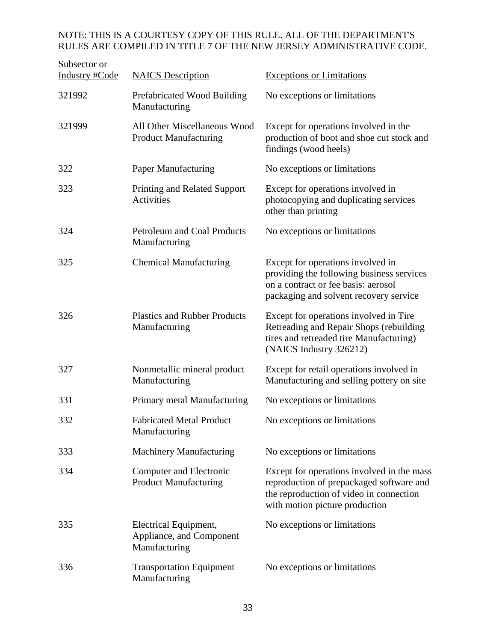| Subsector or          |                                                                    |                                                                                                                                                                     |
|-----------------------|--------------------------------------------------------------------|---------------------------------------------------------------------------------------------------------------------------------------------------------------------|
| <b>Industry #Code</b> | <b>NAICS</b> Description                                           | <b>Exceptions or Limitations</b>                                                                                                                                    |
| 321992                | Prefabricated Wood Building<br>Manufacturing                       | No exceptions or limitations                                                                                                                                        |
| 321999                | All Other Miscellaneous Wood<br><b>Product Manufacturing</b>       | Except for operations involved in the<br>production of boot and shoe cut stock and<br>findings (wood heels)                                                         |
| 322                   | <b>Paper Manufacturing</b>                                         | No exceptions or limitations                                                                                                                                        |
| 323                   | Printing and Related Support<br><b>Activities</b>                  | Except for operations involved in<br>photocopying and duplicating services<br>other than printing                                                                   |
| 324                   | <b>Petroleum and Coal Products</b><br>Manufacturing                | No exceptions or limitations                                                                                                                                        |
| 325                   | <b>Chemical Manufacturing</b>                                      | Except for operations involved in<br>providing the following business services<br>on a contract or fee basis: aerosol<br>packaging and solvent recovery service     |
| 326                   | <b>Plastics and Rubber Products</b><br>Manufacturing               | Except for operations involved in Tire<br>Retreading and Repair Shops (rebuilding<br>tires and retreaded tire Manufacturing)<br>(NAICS Industry 326212)             |
| 327                   | Nonmetallic mineral product<br>Manufacturing                       | Except for retail operations involved in<br>Manufacturing and selling pottery on site                                                                               |
| 331                   | Primary metal Manufacturing                                        | No exceptions or limitations                                                                                                                                        |
| 332                   | <b>Fabricated Metal Product</b><br>Manufacturing                   | No exceptions or limitations                                                                                                                                        |
| 333                   | <b>Machinery Manufacturing</b>                                     | No exceptions or limitations                                                                                                                                        |
| 334                   | <b>Computer and Electronic</b><br><b>Product Manufacturing</b>     | Except for operations involved in the mass<br>reproduction of prepackaged software and<br>the reproduction of video in connection<br>with motion picture production |
| 335                   | Electrical Equipment,<br>Appliance, and Component<br>Manufacturing | No exceptions or limitations                                                                                                                                        |
| 336                   | <b>Transportation Equipment</b><br>Manufacturing                   | No exceptions or limitations                                                                                                                                        |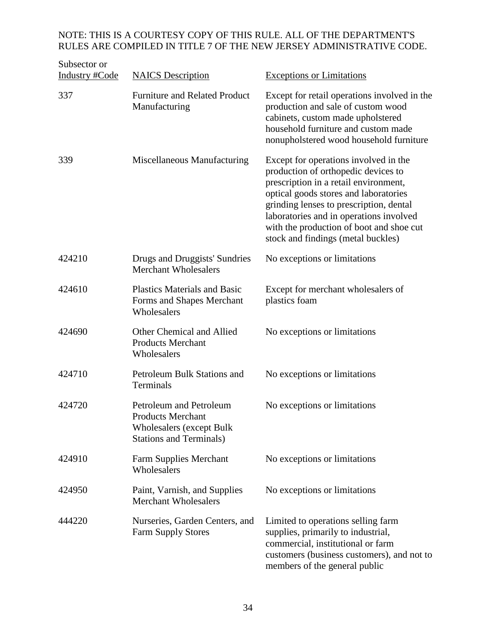| Subsector or<br><b>Industry #Code</b> | <b>NAICS</b> Description                                                                                                 | <b>Exceptions or Limitations</b>                                                                                                                                                                                                                                                                                                       |
|---------------------------------------|--------------------------------------------------------------------------------------------------------------------------|----------------------------------------------------------------------------------------------------------------------------------------------------------------------------------------------------------------------------------------------------------------------------------------------------------------------------------------|
| 337                                   | <b>Furniture and Related Product</b><br>Manufacturing                                                                    | Except for retail operations involved in the<br>production and sale of custom wood<br>cabinets, custom made upholstered<br>household furniture and custom made<br>nonupholstered wood household furniture                                                                                                                              |
| 339                                   | Miscellaneous Manufacturing                                                                                              | Except for operations involved in the<br>production of orthopedic devices to<br>prescription in a retail environment,<br>optical goods stores and laboratories<br>grinding lenses to prescription, dental<br>laboratories and in operations involved<br>with the production of boot and shoe cut<br>stock and findings (metal buckles) |
| 424210                                | Drugs and Druggists' Sundries<br><b>Merchant Wholesalers</b>                                                             | No exceptions or limitations                                                                                                                                                                                                                                                                                                           |
| 424610                                | <b>Plastics Materials and Basic</b><br>Forms and Shapes Merchant<br>Wholesalers                                          | Except for merchant wholesalers of<br>plastics foam                                                                                                                                                                                                                                                                                    |
| 424690                                | Other Chemical and Allied<br><b>Products Merchant</b><br>Wholesalers                                                     | No exceptions or limitations                                                                                                                                                                                                                                                                                                           |
| 424710                                | Petroleum Bulk Stations and<br>Terminals                                                                                 | No exceptions or limitations                                                                                                                                                                                                                                                                                                           |
| 424720                                | Petroleum and Petroleum<br><b>Products Merchant</b><br><b>Wholesalers (except Bulk</b><br><b>Stations and Terminals)</b> | No exceptions or limitations                                                                                                                                                                                                                                                                                                           |
| 424910                                | <b>Farm Supplies Merchant</b><br>Wholesalers                                                                             | No exceptions or limitations                                                                                                                                                                                                                                                                                                           |
| 424950                                | Paint, Varnish, and Supplies<br><b>Merchant Wholesalers</b>                                                              | No exceptions or limitations                                                                                                                                                                                                                                                                                                           |
| 444220                                | Nurseries, Garden Centers, and<br><b>Farm Supply Stores</b>                                                              | Limited to operations selling farm<br>supplies, primarily to industrial,<br>commercial, institutional or farm<br>customers (business customers), and not to<br>members of the general public                                                                                                                                           |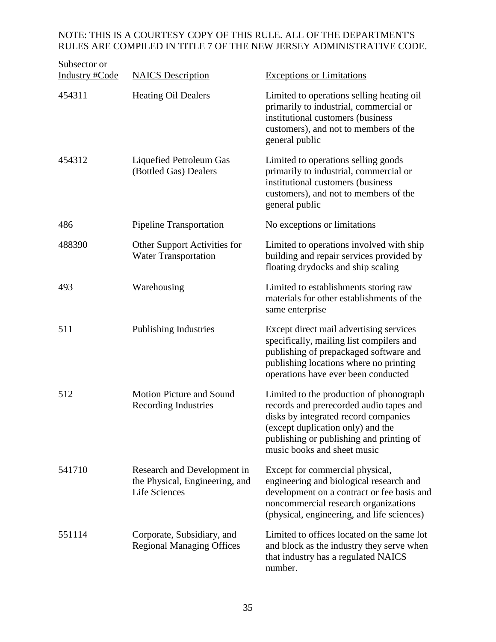| Subsector or<br><b>Industry #Code</b> | <b>NAICS</b> Description                                                              | <b>Exceptions or Limitations</b>                                                                                                                                                                                                           |
|---------------------------------------|---------------------------------------------------------------------------------------|--------------------------------------------------------------------------------------------------------------------------------------------------------------------------------------------------------------------------------------------|
| 454311                                | <b>Heating Oil Dealers</b>                                                            | Limited to operations selling heating oil<br>primarily to industrial, commercial or<br>institutional customers (business<br>customers), and not to members of the<br>general public                                                        |
| 454312                                | Liquefied Petroleum Gas<br>(Bottled Gas) Dealers                                      | Limited to operations selling goods<br>primarily to industrial, commercial or<br>institutional customers (business<br>customers), and not to members of the<br>general public                                                              |
| 486                                   | <b>Pipeline Transportation</b>                                                        | No exceptions or limitations                                                                                                                                                                                                               |
| 488390                                | Other Support Activities for<br><b>Water Transportation</b>                           | Limited to operations involved with ship<br>building and repair services provided by<br>floating drydocks and ship scaling                                                                                                                 |
| 493                                   | Warehousing                                                                           | Limited to establishments storing raw<br>materials for other establishments of the<br>same enterprise                                                                                                                                      |
| 511                                   | <b>Publishing Industries</b>                                                          | Except direct mail advertising services<br>specifically, mailing list compilers and<br>publishing of prepackaged software and<br>publishing locations where no printing<br>operations have ever been conducted                             |
| 512                                   | <b>Motion Picture and Sound</b><br><b>Recording Industries</b>                        | Limited to the production of phonograph<br>records and prerecorded audio tapes and<br>disks by integrated record companies<br>(except duplication only) and the<br>publishing or publishing and printing of<br>music books and sheet music |
| 541710                                | Research and Development in<br>the Physical, Engineering, and<br><b>Life Sciences</b> | Except for commercial physical,<br>engineering and biological research and<br>development on a contract or fee basis and<br>noncommercial research organizations<br>(physical, engineering, and life sciences)                             |
| 551114                                | Corporate, Subsidiary, and<br><b>Regional Managing Offices</b>                        | Limited to offices located on the same lot<br>and block as the industry they serve when<br>that industry has a regulated NAICS<br>number.                                                                                                  |